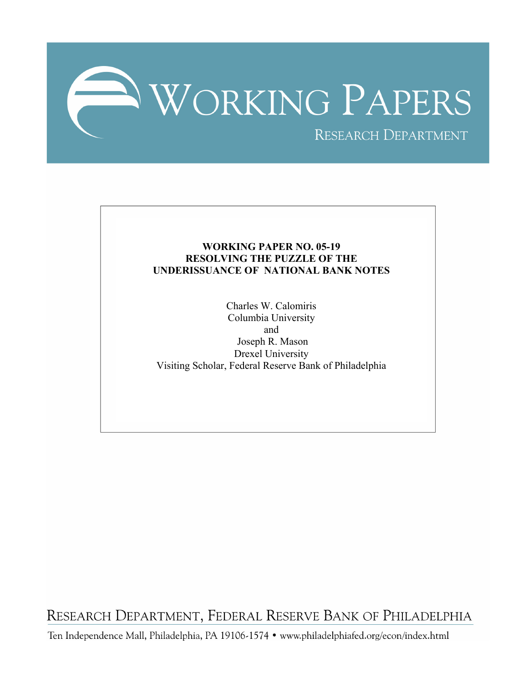

# **WORKING PAPER NO. 05-19 RESOLVING THE PUZZLE OF THE UNDERISSUANCE OF NATIONAL BANK NOTES**

Charles W. Calomiris Columbia University and Joseph R. Mason Drexel University Visiting Scholar, Federal Reserve Bank of Philadelphia

RESEARCH DEPARTMENT, FEDERAL RESERVE BANK OF PHILADELPHIA

Ten Independence Mall, Philadelphia, PA 19106-1574 · www.philadelphiafed.org/econ/index.html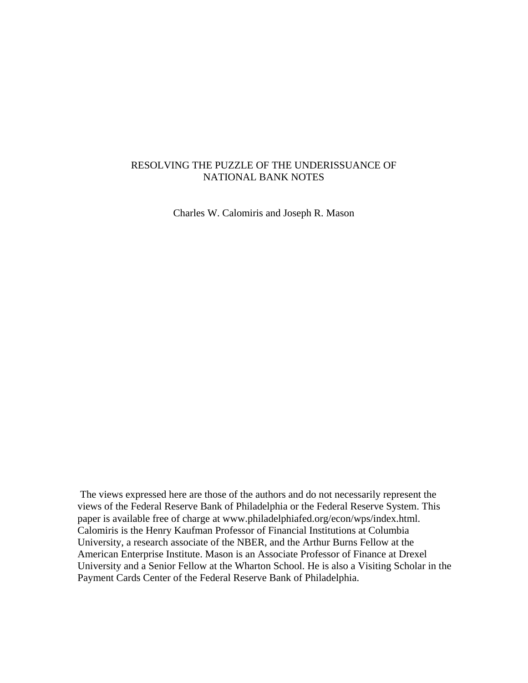## RESOLVING THE PUZZLE OF THE UNDERISSUANCE OF NATIONAL BANK NOTES

Charles W. Calomiris and Joseph R. Mason

The views expressed here are those of the authors and do not necessarily represent the views of the Federal Reserve Bank of Philadelphia or the Federal Reserve System. This paper is available free of charge at www.philadelphiafed.org/econ/wps/index.html. Calomiris is the Henry Kaufman Professor of Financial Institutions at Columbia University, a research associate of the NBER, and the Arthur Burns Fellow at the American Enterprise Institute. Mason is an Associate Professor of Finance at Drexel University and a Senior Fellow at the Wharton School. He is also a Visiting Scholar in the Payment Cards Center of the Federal Reserve Bank of Philadelphia.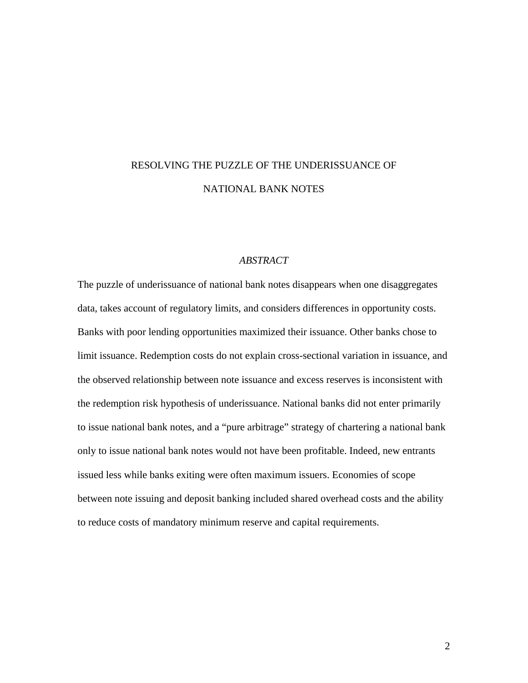# RESOLVING THE PUZZLE OF THE UNDERISSUANCE OF NATIONAL BANK NOTES

## *ABSTRACT*

The puzzle of underissuance of national bank notes disappears when one disaggregates data, takes account of regulatory limits, and considers differences in opportunity costs. Banks with poor lending opportunities maximized their issuance. Other banks chose to limit issuance. Redemption costs do not explain cross-sectional variation in issuance, and the observed relationship between note issuance and excess reserves is inconsistent with the redemption risk hypothesis of underissuance. National banks did not enter primarily to issue national bank notes, and a "pure arbitrage" strategy of chartering a national bank only to issue national bank notes would not have been profitable. Indeed, new entrants issued less while banks exiting were often maximum issuers. Economies of scope between note issuing and deposit banking included shared overhead costs and the ability to reduce costs of mandatory minimum reserve and capital requirements.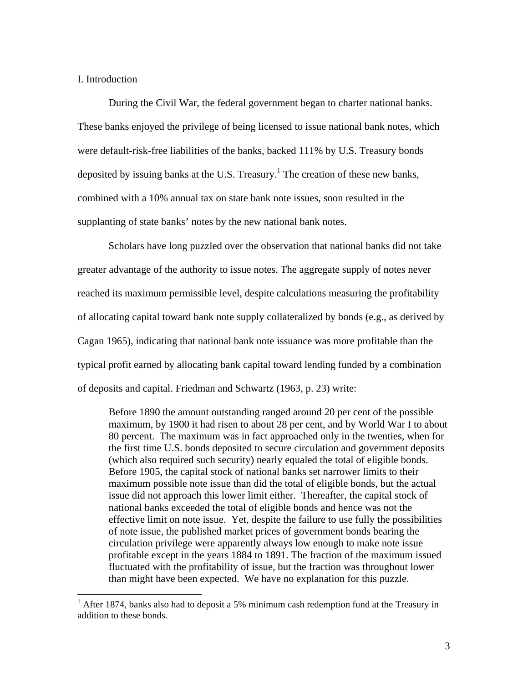## I. Introduction

During the Civil War, the federal government began to charter national banks. These banks enjoyed the privilege of being licensed to issue national bank notes, which were default-risk-free liabilities of the banks, backed 111% by U.S. Treasury bonds deposited by issuing banks at the U.S. Treasury.<sup>1</sup> The creation of these new banks, combined with a 10% annual tax on state bank note issues, soon resulted in the supplanting of state banks' notes by the new national bank notes.

Scholars have long puzzled over the observation that national banks did not take greater advantage of the authority to issue notes. The aggregate supply of notes never reached its maximum permissible level, despite calculations measuring the profitability of allocating capital toward bank note supply collateralized by bonds (e.g., as derived by Cagan 1965), indicating that national bank note issuance was more profitable than the typical profit earned by allocating bank capital toward lending funded by a combination of deposits and capital. Friedman and Schwartz (1963, p. 23) write:

Before 1890 the amount outstanding ranged around 20 per cent of the possible maximum, by 1900 it had risen to about 28 per cent, and by World War I to about 80 percent. The maximum was in fact approached only in the twenties, when for the first time U.S. bonds deposited to secure circulation and government deposits (which also required such security) nearly equaled the total of eligible bonds. Before 1905, the capital stock of national banks set narrower limits to their maximum possible note issue than did the total of eligible bonds, but the actual issue did not approach this lower limit either. Thereafter, the capital stock of national banks exceeded the total of eligible bonds and hence was not the effective limit on note issue. Yet, despite the failure to use fully the possibilities of note issue, the published market prices of government bonds bearing the circulation privilege were apparently always low enough to make note issue profitable except in the years 1884 to 1891. The fraction of the maximum issued fluctuated with the profitability of issue, but the fraction was throughout lower than might have been expected. We have no explanation for this puzzle.

<sup>&</sup>lt;sup>1</sup> After 1874, banks also had to deposit a 5% minimum cash redemption fund at the Treasury in addition to these bonds.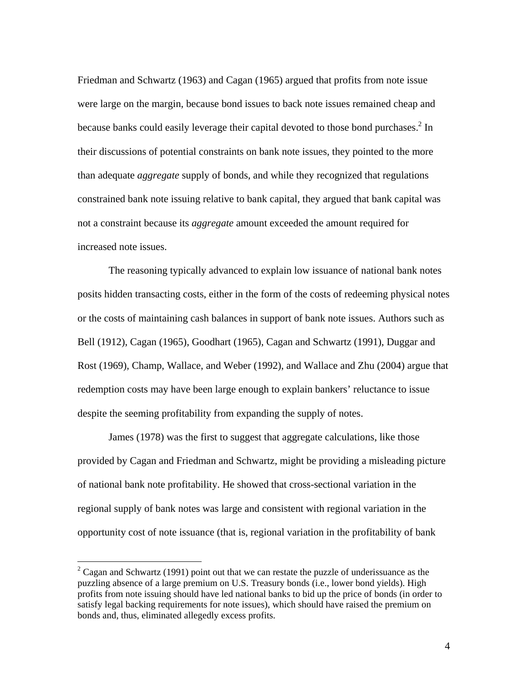Friedman and Schwartz (1963) and Cagan (1965) argued that profits from note issue were large on the margin, because bond issues to back note issues remained cheap and because banks could easily leverage their capital devoted to those bond purchases.<sup>2</sup> In their discussions of potential constraints on bank note issues, they pointed to the more than adequate *aggregate* supply of bonds, and while they recognized that regulations constrained bank note issuing relative to bank capital, they argued that bank capital was not a constraint because its *aggregate* amount exceeded the amount required for increased note issues.

The reasoning typically advanced to explain low issuance of national bank notes posits hidden transacting costs, either in the form of the costs of redeeming physical notes or the costs of maintaining cash balances in support of bank note issues. Authors such as Bell (1912), Cagan (1965), Goodhart (1965), Cagan and Schwartz (1991), Duggar and Rost (1969), Champ, Wallace, and Weber (1992), and Wallace and Zhu (2004) argue that redemption costs may have been large enough to explain bankers' reluctance to issue despite the seeming profitability from expanding the supply of notes.

James (1978) was the first to suggest that aggregate calculations, like those provided by Cagan and Friedman and Schwartz, might be providing a misleading picture of national bank note profitability. He showed that cross-sectional variation in the regional supply of bank notes was large and consistent with regional variation in the opportunity cost of note issuance (that is, regional variation in the profitability of bank

<u>.</u>

 $2^2$  Cagan and Schwartz (1991) point out that we can restate the puzzle of underissuance as the puzzling absence of a large premium on U.S. Treasury bonds (i.e., lower bond yields). High profits from note issuing should have led national banks to bid up the price of bonds (in order to satisfy legal backing requirements for note issues), which should have raised the premium on bonds and, thus, eliminated allegedly excess profits.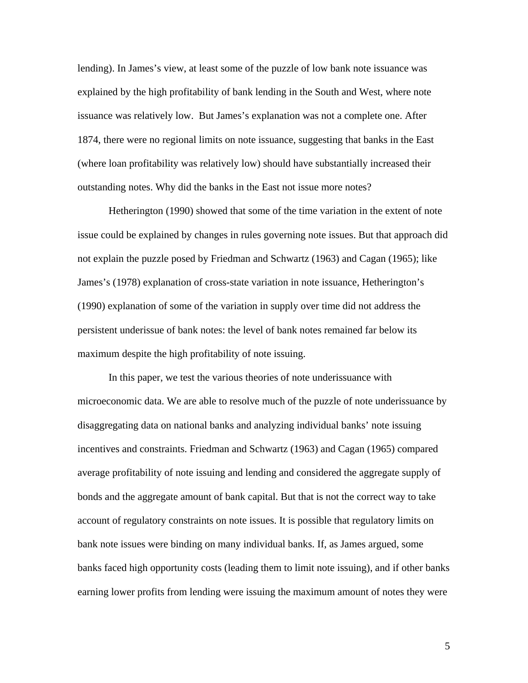lending). In James's view, at least some of the puzzle of low bank note issuance was explained by the high profitability of bank lending in the South and West, where note issuance was relatively low. But James's explanation was not a complete one. After 1874, there were no regional limits on note issuance, suggesting that banks in the East (where loan profitability was relatively low) should have substantially increased their outstanding notes. Why did the banks in the East not issue more notes?

Hetherington (1990) showed that some of the time variation in the extent of note issue could be explained by changes in rules governing note issues. But that approach did not explain the puzzle posed by Friedman and Schwartz (1963) and Cagan (1965); like James's (1978) explanation of cross-state variation in note issuance, Hetherington's (1990) explanation of some of the variation in supply over time did not address the persistent underissue of bank notes: the level of bank notes remained far below its maximum despite the high profitability of note issuing.

In this paper, we test the various theories of note underissuance with microeconomic data. We are able to resolve much of the puzzle of note underissuance by disaggregating data on national banks and analyzing individual banks' note issuing incentives and constraints. Friedman and Schwartz (1963) and Cagan (1965) compared average profitability of note issuing and lending and considered the aggregate supply of bonds and the aggregate amount of bank capital. But that is not the correct way to take account of regulatory constraints on note issues. It is possible that regulatory limits on bank note issues were binding on many individual banks. If, as James argued, some banks faced high opportunity costs (leading them to limit note issuing), and if other banks earning lower profits from lending were issuing the maximum amount of notes they were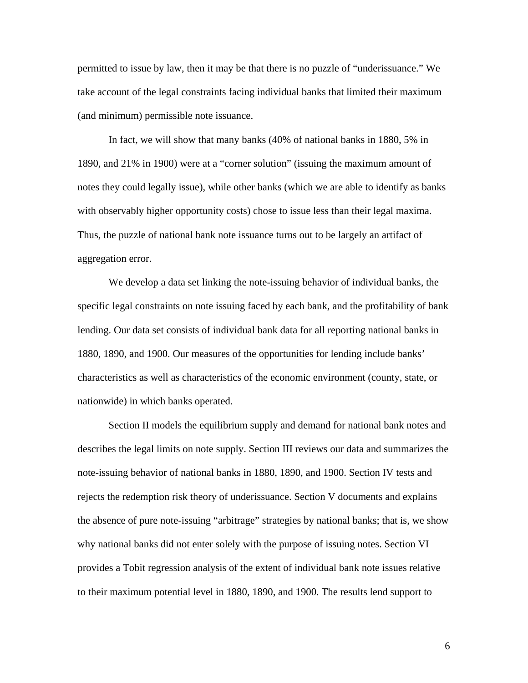permitted to issue by law, then it may be that there is no puzzle of "underissuance." We take account of the legal constraints facing individual banks that limited their maximum (and minimum) permissible note issuance.

In fact, we will show that many banks (40% of national banks in 1880, 5% in 1890, and 21% in 1900) were at a "corner solution" (issuing the maximum amount of notes they could legally issue), while other banks (which we are able to identify as banks with observably higher opportunity costs) chose to issue less than their legal maxima. Thus, the puzzle of national bank note issuance turns out to be largely an artifact of aggregation error.

We develop a data set linking the note-issuing behavior of individual banks, the specific legal constraints on note issuing faced by each bank, and the profitability of bank lending. Our data set consists of individual bank data for all reporting national banks in 1880, 1890, and 1900. Our measures of the opportunities for lending include banks' characteristics as well as characteristics of the economic environment (county, state, or nationwide) in which banks operated.

Section II models the equilibrium supply and demand for national bank notes and describes the legal limits on note supply. Section III reviews our data and summarizes the note-issuing behavior of national banks in 1880, 1890, and 1900. Section IV tests and rejects the redemption risk theory of underissuance. Section V documents and explains the absence of pure note-issuing "arbitrage" strategies by national banks; that is, we show why national banks did not enter solely with the purpose of issuing notes. Section VI provides a Tobit regression analysis of the extent of individual bank note issues relative to their maximum potential level in 1880, 1890, and 1900. The results lend support to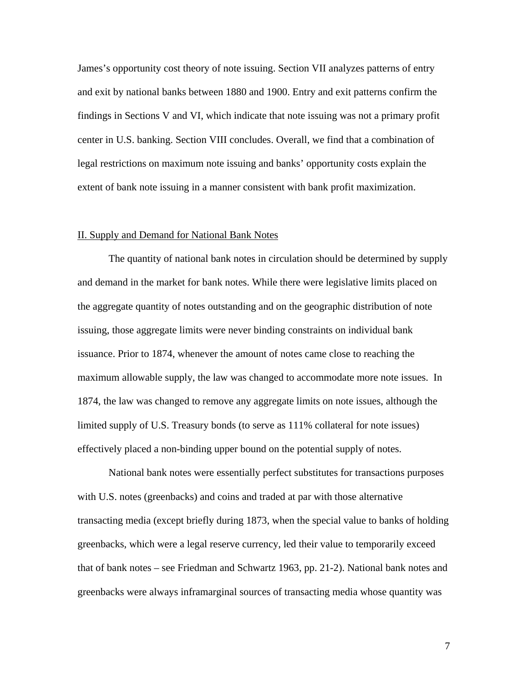James's opportunity cost theory of note issuing. Section VII analyzes patterns of entry and exit by national banks between 1880 and 1900. Entry and exit patterns confirm the findings in Sections V and VI, which indicate that note issuing was not a primary profit center in U.S. banking. Section VIII concludes. Overall, we find that a combination of legal restrictions on maximum note issuing and banks' opportunity costs explain the extent of bank note issuing in a manner consistent with bank profit maximization.

#### II. Supply and Demand for National Bank Notes

The quantity of national bank notes in circulation should be determined by supply and demand in the market for bank notes. While there were legislative limits placed on the aggregate quantity of notes outstanding and on the geographic distribution of note issuing, those aggregate limits were never binding constraints on individual bank issuance. Prior to 1874, whenever the amount of notes came close to reaching the maximum allowable supply, the law was changed to accommodate more note issues. In 1874, the law was changed to remove any aggregate limits on note issues, although the limited supply of U.S. Treasury bonds (to serve as 111% collateral for note issues) effectively placed a non-binding upper bound on the potential supply of notes.

National bank notes were essentially perfect substitutes for transactions purposes with U.S. notes (greenbacks) and coins and traded at par with those alternative transacting media (except briefly during 1873, when the special value to banks of holding greenbacks, which were a legal reserve currency, led their value to temporarily exceed that of bank notes – see Friedman and Schwartz 1963, pp. 21-2). National bank notes and greenbacks were always inframarginal sources of transacting media whose quantity was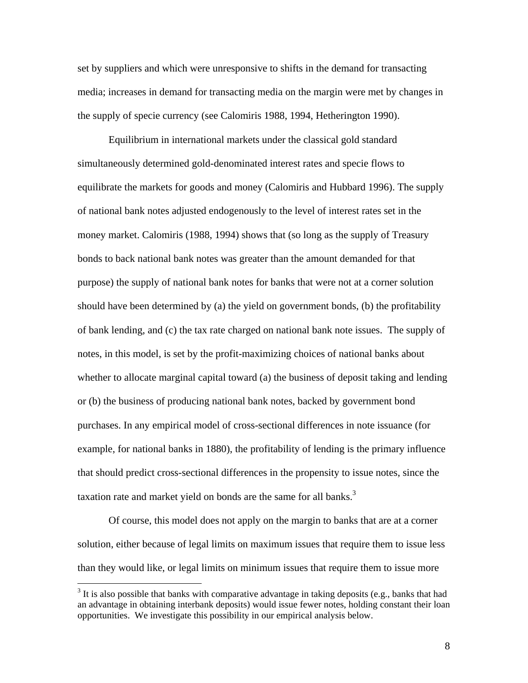set by suppliers and which were unresponsive to shifts in the demand for transacting media; increases in demand for transacting media on the margin were met by changes in the supply of specie currency (see Calomiris 1988, 1994, Hetherington 1990).

Equilibrium in international markets under the classical gold standard simultaneously determined gold-denominated interest rates and specie flows to equilibrate the markets for goods and money (Calomiris and Hubbard 1996). The supply of national bank notes adjusted endogenously to the level of interest rates set in the money market. Calomiris (1988, 1994) shows that (so long as the supply of Treasury bonds to back national bank notes was greater than the amount demanded for that purpose) the supply of national bank notes for banks that were not at a corner solution should have been determined by (a) the yield on government bonds, (b) the profitability of bank lending, and (c) the tax rate charged on national bank note issues. The supply of notes, in this model, is set by the profit-maximizing choices of national banks about whether to allocate marginal capital toward (a) the business of deposit taking and lending or (b) the business of producing national bank notes, backed by government bond purchases. In any empirical model of cross-sectional differences in note issuance (for example, for national banks in 1880), the profitability of lending is the primary influence that should predict cross-sectional differences in the propensity to issue notes, since the taxation rate and market yield on bonds are the same for all banks.<sup>3</sup>

Of course, this model does not apply on the margin to banks that are at a corner solution, either because of legal limits on maximum issues that require them to issue less than they would like, or legal limits on minimum issues that require them to issue more

 $\overline{a}$ 

 $3$  It is also possible that banks with comparative advantage in taking deposits (e.g., banks that had an advantage in obtaining interbank deposits) would issue fewer notes, holding constant their loan opportunities. We investigate this possibility in our empirical analysis below.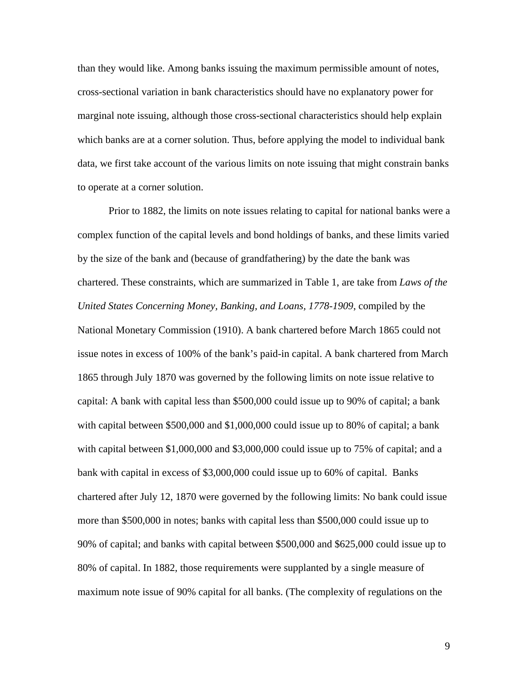than they would like. Among banks issuing the maximum permissible amount of notes, cross-sectional variation in bank characteristics should have no explanatory power for marginal note issuing, although those cross-sectional characteristics should help explain which banks are at a corner solution. Thus, before applying the model to individual bank data, we first take account of the various limits on note issuing that might constrain banks to operate at a corner solution.

Prior to 1882, the limits on note issues relating to capital for national banks were a complex function of the capital levels and bond holdings of banks, and these limits varied by the size of the bank and (because of grandfathering) by the date the bank was chartered. These constraints, which are summarized in Table 1, are take from *Laws of the United States Concerning Money, Banking, and Loans, 1778-1909*, compiled by the National Monetary Commission (1910). A bank chartered before March 1865 could not issue notes in excess of 100% of the bank's paid-in capital. A bank chartered from March 1865 through July 1870 was governed by the following limits on note issue relative to capital: A bank with capital less than \$500,000 could issue up to 90% of capital; a bank with capital between \$500,000 and \$1,000,000 could issue up to 80% of capital; a bank with capital between \$1,000,000 and \$3,000,000 could issue up to 75% of capital; and a bank with capital in excess of \$3,000,000 could issue up to 60% of capital. Banks chartered after July 12, 1870 were governed by the following limits: No bank could issue more than \$500,000 in notes; banks with capital less than \$500,000 could issue up to 90% of capital; and banks with capital between \$500,000 and \$625,000 could issue up to 80% of capital. In 1882, those requirements were supplanted by a single measure of maximum note issue of 90% capital for all banks. (The complexity of regulations on the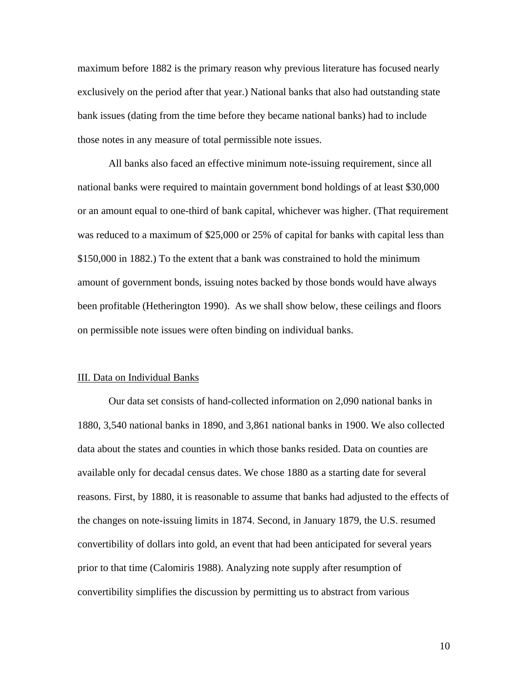maximum before 1882 is the primary reason why previous literature has focused nearly exclusively on the period after that year.) National banks that also had outstanding state bank issues (dating from the time before they became national banks) had to include those notes in any measure of total permissible note issues.

All banks also faced an effective minimum note-issuing requirement, since all national banks were required to maintain government bond holdings of at least \$30,000 or an amount equal to one-third of bank capital, whichever was higher. (That requirement was reduced to a maximum of \$25,000 or 25% of capital for banks with capital less than \$150,000 in 1882.) To the extent that a bank was constrained to hold the minimum amount of government bonds, issuing notes backed by those bonds would have always been profitable (Hetherington 1990). As we shall show below, these ceilings and floors on permissible note issues were often binding on individual banks.

#### III. Data on Individual Banks

Our data set consists of hand-collected information on 2,090 national banks in 1880, 3,540 national banks in 1890, and 3,861 national banks in 1900. We also collected data about the states and counties in which those banks resided. Data on counties are available only for decadal census dates. We chose 1880 as a starting date for several reasons. First, by 1880, it is reasonable to assume that banks had adjusted to the effects of the changes on note-issuing limits in 1874. Second, in January 1879, the U.S. resumed convertibility of dollars into gold, an event that had been anticipated for several years prior to that time (Calomiris 1988). Analyzing note supply after resumption of convertibility simplifies the discussion by permitting us to abstract from various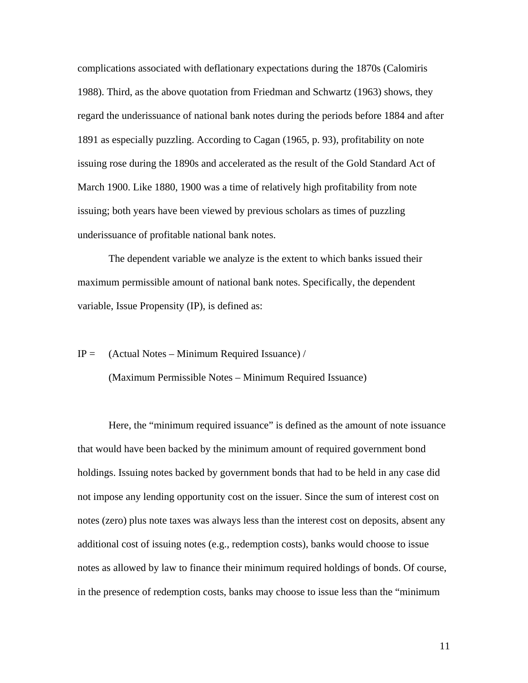complications associated with deflationary expectations during the 1870s (Calomiris 1988). Third, as the above quotation from Friedman and Schwartz (1963) shows, they regard the underissuance of national bank notes during the periods before 1884 and after 1891 as especially puzzling. According to Cagan (1965, p. 93), profitability on note issuing rose during the 1890s and accelerated as the result of the Gold Standard Act of March 1900. Like 1880, 1900 was a time of relatively high profitability from note issuing; both years have been viewed by previous scholars as times of puzzling underissuance of profitable national bank notes.

The dependent variable we analyze is the extent to which banks issued their maximum permissible amount of national bank notes. Specifically, the dependent variable, Issue Propensity (IP), is defined as:

## $IP =$  (Actual Notes – Minimum Required Issuance) /

(Maximum Permissible Notes – Minimum Required Issuance)

 Here, the "minimum required issuance" is defined as the amount of note issuance that would have been backed by the minimum amount of required government bond holdings. Issuing notes backed by government bonds that had to be held in any case did not impose any lending opportunity cost on the issuer. Since the sum of interest cost on notes (zero) plus note taxes was always less than the interest cost on deposits, absent any additional cost of issuing notes (e.g., redemption costs), banks would choose to issue notes as allowed by law to finance their minimum required holdings of bonds. Of course, in the presence of redemption costs, banks may choose to issue less than the "minimum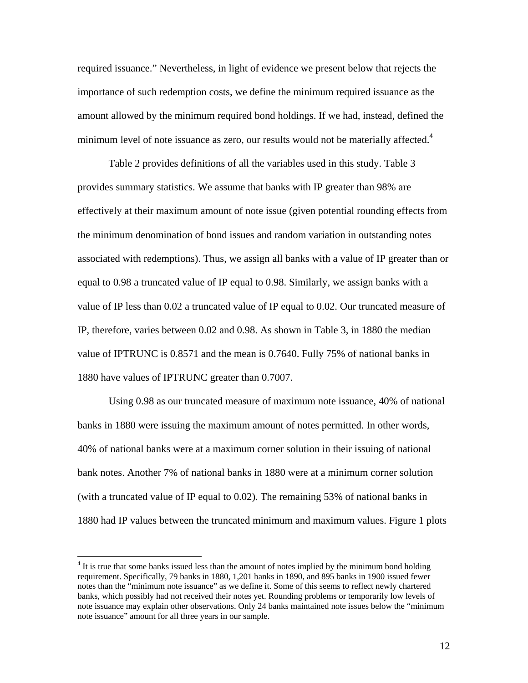required issuance." Nevertheless, in light of evidence we present below that rejects the importance of such redemption costs, we define the minimum required issuance as the amount allowed by the minimum required bond holdings. If we had, instead, defined the minimum level of note issuance as zero, our results would not be materially affected. $4$ 

Table 2 provides definitions of all the variables used in this study. Table 3 provides summary statistics. We assume that banks with IP greater than 98% are effectively at their maximum amount of note issue (given potential rounding effects from the minimum denomination of bond issues and random variation in outstanding notes associated with redemptions). Thus, we assign all banks with a value of IP greater than or equal to 0.98 a truncated value of IP equal to 0.98. Similarly, we assign banks with a value of IP less than 0.02 a truncated value of IP equal to 0.02. Our truncated measure of IP, therefore, varies between 0.02 and 0.98. As shown in Table 3, in 1880 the median value of IPTRUNC is 0.8571 and the mean is 0.7640. Fully 75% of national banks in 1880 have values of IPTRUNC greater than 0.7007.

Using 0.98 as our truncated measure of maximum note issuance, 40% of national banks in 1880 were issuing the maximum amount of notes permitted. In other words, 40% of national banks were at a maximum corner solution in their issuing of national bank notes. Another 7% of national banks in 1880 were at a minimum corner solution (with a truncated value of IP equal to 0.02). The remaining 53% of national banks in 1880 had IP values between the truncated minimum and maximum values. Figure 1 plots

 $\overline{a}$ 

<sup>&</sup>lt;sup>4</sup> It is true that some banks issued less than the amount of notes implied by the minimum bond holding requirement. Specifically, 79 banks in 1880, 1,201 banks in 1890, and 895 banks in 1900 issued fewer notes than the "minimum note issuance" as we define it. Some of this seems to reflect newly chartered banks, which possibly had not received their notes yet. Rounding problems or temporarily low levels of note issuance may explain other observations. Only 24 banks maintained note issues below the "minimum note issuance" amount for all three years in our sample.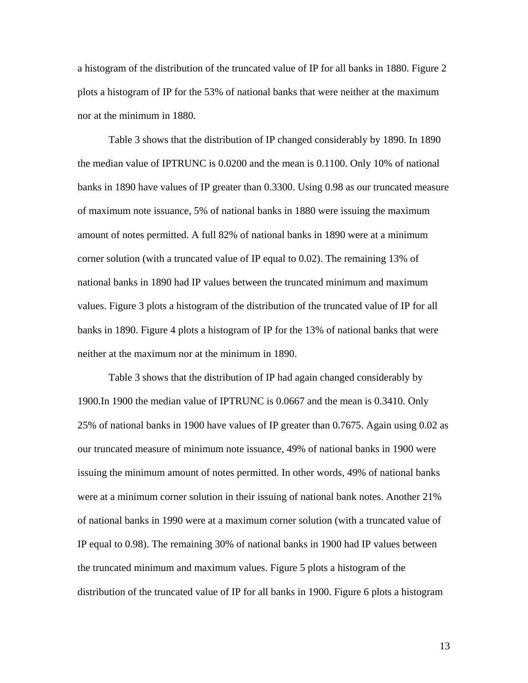a histogram of the distribution of the truncated value of IP for all banks in 1880. Figure 2 plots a histogram of IP for the 53% of national banks that were neither at the maximum nor at the minimum in 1880.

Table 3 shows that the distribution of IP changed considerably by 1890. In 1890 the median value of IPTRUNC is 0.0200 and the mean is 0.1100. Only 10% of national banks in 1890 have values of IP greater than 0.3300. Using 0.98 as our truncated measure of maximum note issuance, 5% of national banks in 1880 were issuing the maximum amount of notes permitted. A full 82% of national banks in 1890 were at a minimum corner solution (with a truncated value of IP equal to 0.02). The remaining 13% of national banks in 1890 had IP values between the truncated minimum and maximum values. Figure 3 plots a histogram of the distribution of the truncated value of IP for all banks in 1890. Figure 4 plots a histogram of IP for the 13% of national banks that were neither at the maximum nor at the minimum in 1890.

Table 3 shows that the distribution of IP had again changed considerably by 1900.In 1900 the median value of IPTRUNC is 0.0667 and the mean is 0.3410. Only 25% of national banks in 1900 have values of IP greater than 0.7675. Again using 0.02 as our truncated measure of minimum note issuance, 49% of national banks in 1900 were issuing the minimum amount of notes permitted. In other words, 49% of national banks were at a minimum corner solution in their issuing of national bank notes. Another 21% of national banks in 1990 were at a maximum corner solution (with a truncated value of IP equal to 0.98). The remaining 30% of national banks in 1900 had IP values between the truncated minimum and maximum values. Figure 5 plots a histogram of the distribution of the truncated value of IP for all banks in 1900. Figure 6 plots a histogram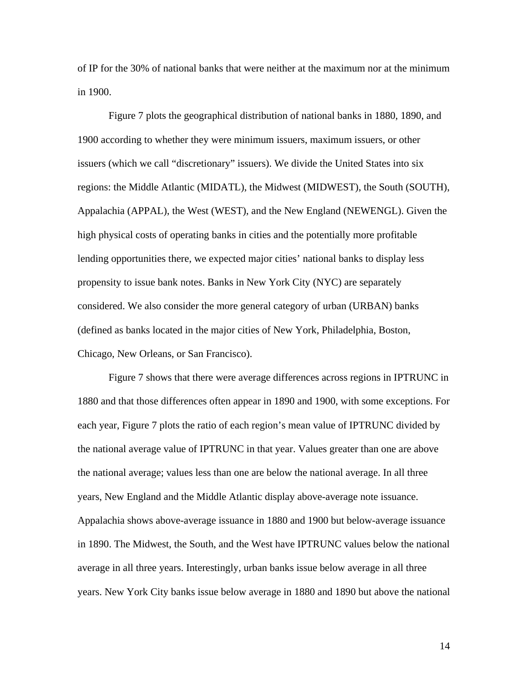of IP for the 30% of national banks that were neither at the maximum nor at the minimum in 1900.

Figure 7 plots the geographical distribution of national banks in 1880, 1890, and 1900 according to whether they were minimum issuers, maximum issuers, or other issuers (which we call "discretionary" issuers). We divide the United States into six regions: the Middle Atlantic (MIDATL), the Midwest (MIDWEST), the South (SOUTH), Appalachia (APPAL), the West (WEST), and the New England (NEWENGL). Given the high physical costs of operating banks in cities and the potentially more profitable lending opportunities there, we expected major cities' national banks to display less propensity to issue bank notes. Banks in New York City (NYC) are separately considered. We also consider the more general category of urban (URBAN) banks (defined as banks located in the major cities of New York, Philadelphia, Boston, Chicago, New Orleans, or San Francisco).

Figure 7 shows that there were average differences across regions in IPTRUNC in 1880 and that those differences often appear in 1890 and 1900, with some exceptions. For each year, Figure 7 plots the ratio of each region's mean value of IPTRUNC divided by the national average value of IPTRUNC in that year. Values greater than one are above the national average; values less than one are below the national average. In all three years, New England and the Middle Atlantic display above-average note issuance. Appalachia shows above-average issuance in 1880 and 1900 but below-average issuance in 1890. The Midwest, the South, and the West have IPTRUNC values below the national average in all three years. Interestingly, urban banks issue below average in all three years. New York City banks issue below average in 1880 and 1890 but above the national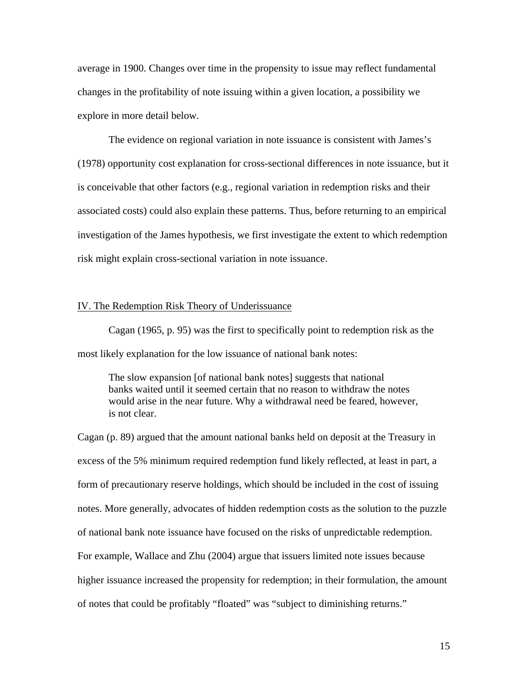average in 1900. Changes over time in the propensity to issue may reflect fundamental changes in the profitability of note issuing within a given location, a possibility we explore in more detail below.

The evidence on regional variation in note issuance is consistent with James's (1978) opportunity cost explanation for cross-sectional differences in note issuance, but it is conceivable that other factors (e.g., regional variation in redemption risks and their associated costs) could also explain these patterns. Thus, before returning to an empirical investigation of the James hypothesis, we first investigate the extent to which redemption risk might explain cross-sectional variation in note issuance.

## IV. The Redemption Risk Theory of Underissuance

Cagan (1965, p. 95) was the first to specifically point to redemption risk as the most likely explanation for the low issuance of national bank notes:

 The slow expansion [of national bank notes] suggests that national banks waited until it seemed certain that no reason to withdraw the notes would arise in the near future. Why a withdrawal need be feared, however, is not clear.

Cagan (p. 89) argued that the amount national banks held on deposit at the Treasury in excess of the 5% minimum required redemption fund likely reflected, at least in part, a form of precautionary reserve holdings, which should be included in the cost of issuing notes. More generally, advocates of hidden redemption costs as the solution to the puzzle of national bank note issuance have focused on the risks of unpredictable redemption. For example, Wallace and Zhu (2004) argue that issuers limited note issues because higher issuance increased the propensity for redemption; in their formulation, the amount of notes that could be profitably "floated" was "subject to diminishing returns."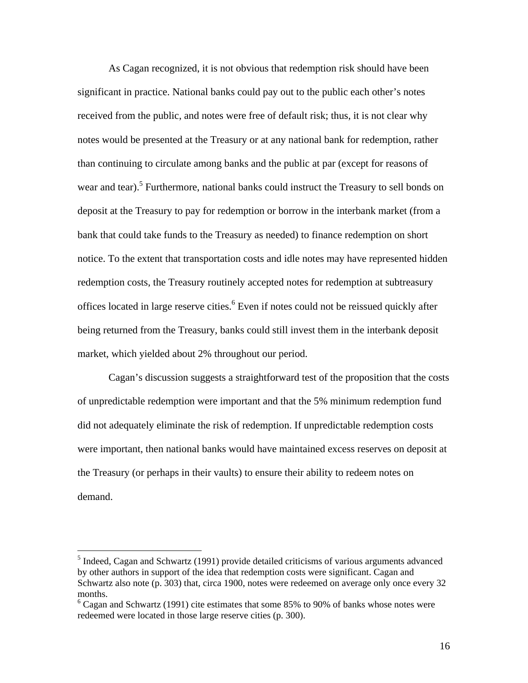As Cagan recognized, it is not obvious that redemption risk should have been significant in practice. National banks could pay out to the public each other's notes received from the public, and notes were free of default risk; thus, it is not clear why notes would be presented at the Treasury or at any national bank for redemption, rather than continuing to circulate among banks and the public at par (except for reasons of wear and tear).<sup>5</sup> Furthermore, national banks could instruct the Treasury to sell bonds on deposit at the Treasury to pay for redemption or borrow in the interbank market (from a bank that could take funds to the Treasury as needed) to finance redemption on short notice. To the extent that transportation costs and idle notes may have represented hidden redemption costs, the Treasury routinely accepted notes for redemption at subtreasury offices located in large reserve cities.<sup>6</sup> Even if notes could not be reissued quickly after being returned from the Treasury, banks could still invest them in the interbank deposit market, which yielded about 2% throughout our period.

Cagan's discussion suggests a straightforward test of the proposition that the costs of unpredictable redemption were important and that the 5% minimum redemption fund did not adequately eliminate the risk of redemption. If unpredictable redemption costs were important, then national banks would have maintained excess reserves on deposit at the Treasury (or perhaps in their vaults) to ensure their ability to redeem notes on demand.

 $\overline{a}$ 

 $<sup>5</sup>$  Indeed, Cagan and Schwartz (1991) provide detailed criticisms of various arguments advanced</sup> by other authors in support of the idea that redemption costs were significant. Cagan and Schwartz also note (p. 303) that, circa 1900, notes were redeemed on average only once every 32 months.

 $6$  Cagan and Schwartz (1991) cite estimates that some 85% to 90% of banks whose notes were redeemed were located in those large reserve cities (p. 300).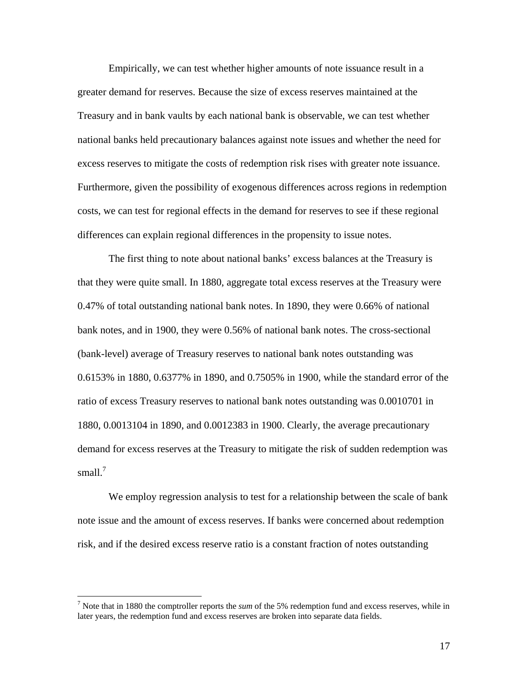Empirically, we can test whether higher amounts of note issuance result in a greater demand for reserves. Because the size of excess reserves maintained at the Treasury and in bank vaults by each national bank is observable, we can test whether national banks held precautionary balances against note issues and whether the need for excess reserves to mitigate the costs of redemption risk rises with greater note issuance. Furthermore, given the possibility of exogenous differences across regions in redemption costs, we can test for regional effects in the demand for reserves to see if these regional differences can explain regional differences in the propensity to issue notes.

The first thing to note about national banks' excess balances at the Treasury is that they were quite small. In 1880, aggregate total excess reserves at the Treasury were 0.47% of total outstanding national bank notes. In 1890, they were 0.66% of national bank notes, and in 1900, they were 0.56% of national bank notes. The cross-sectional (bank-level) average of Treasury reserves to national bank notes outstanding was 0.6153% in 1880, 0.6377% in 1890, and 0.7505% in 1900, while the standard error of the ratio of excess Treasury reserves to national bank notes outstanding was 0.0010701 in 1880, 0.0013104 in 1890, and 0.0012383 in 1900. Clearly, the average precautionary demand for excess reserves at the Treasury to mitigate the risk of sudden redemption was small. $<sup>7</sup>$ </sup>

We employ regression analysis to test for a relationship between the scale of bank note issue and the amount of excess reserves. If banks were concerned about redemption risk, and if the desired excess reserve ratio is a constant fraction of notes outstanding

 $\overline{a}$ 

<sup>7</sup> Note that in 1880 the comptroller reports the *sum* of the 5% redemption fund and excess reserves, while in later years, the redemption fund and excess reserves are broken into separate data fields.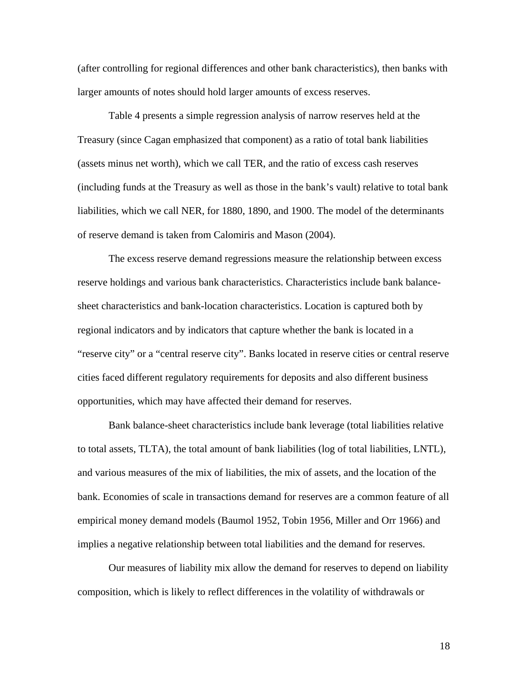(after controlling for regional differences and other bank characteristics), then banks with larger amounts of notes should hold larger amounts of excess reserves.

Table 4 presents a simple regression analysis of narrow reserves held at the Treasury (since Cagan emphasized that component) as a ratio of total bank liabilities (assets minus net worth), which we call TER, and the ratio of excess cash reserves (including funds at the Treasury as well as those in the bank's vault) relative to total bank liabilities, which we call NER, for 1880, 1890, and 1900. The model of the determinants of reserve demand is taken from Calomiris and Mason (2004).

The excess reserve demand regressions measure the relationship between excess reserve holdings and various bank characteristics. Characteristics include bank balancesheet characteristics and bank-location characteristics. Location is captured both by regional indicators and by indicators that capture whether the bank is located in a "reserve city" or a "central reserve city". Banks located in reserve cities or central reserve cities faced different regulatory requirements for deposits and also different business opportunities, which may have affected their demand for reserves.

Bank balance-sheet characteristics include bank leverage (total liabilities relative to total assets, TLTA), the total amount of bank liabilities (log of total liabilities, LNTL), and various measures of the mix of liabilities, the mix of assets, and the location of the bank. Economies of scale in transactions demand for reserves are a common feature of all empirical money demand models (Baumol 1952, Tobin 1956, Miller and Orr 1966) and implies a negative relationship between total liabilities and the demand for reserves.

Our measures of liability mix allow the demand for reserves to depend on liability composition, which is likely to reflect differences in the volatility of withdrawals or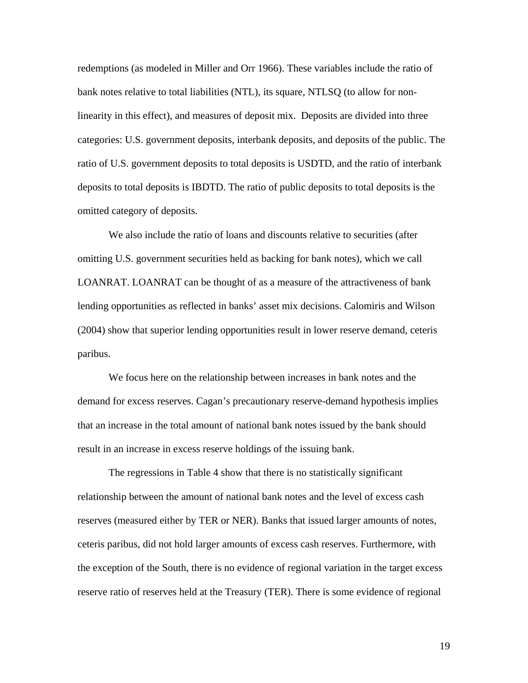redemptions (as modeled in Miller and Orr 1966). These variables include the ratio of bank notes relative to total liabilities (NTL), its square, NTLSQ (to allow for nonlinearity in this effect), and measures of deposit mix. Deposits are divided into three categories: U.S. government deposits, interbank deposits, and deposits of the public. The ratio of U.S. government deposits to total deposits is USDTD, and the ratio of interbank deposits to total deposits is IBDTD. The ratio of public deposits to total deposits is the omitted category of deposits.

We also include the ratio of loans and discounts relative to securities (after omitting U.S. government securities held as backing for bank notes), which we call LOANRAT. LOANRAT can be thought of as a measure of the attractiveness of bank lending opportunities as reflected in banks' asset mix decisions. Calomiris and Wilson (2004) show that superior lending opportunities result in lower reserve demand, ceteris paribus.

We focus here on the relationship between increases in bank notes and the demand for excess reserves. Cagan's precautionary reserve-demand hypothesis implies that an increase in the total amount of national bank notes issued by the bank should result in an increase in excess reserve holdings of the issuing bank.

The regressions in Table 4 show that there is no statistically significant relationship between the amount of national bank notes and the level of excess cash reserves (measured either by TER or NER). Banks that issued larger amounts of notes, ceteris paribus, did not hold larger amounts of excess cash reserves. Furthermore, with the exception of the South, there is no evidence of regional variation in the target excess reserve ratio of reserves held at the Treasury (TER). There is some evidence of regional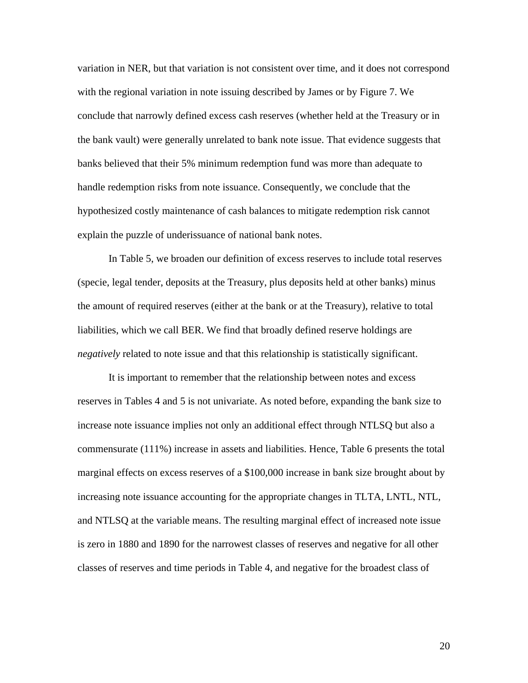variation in NER, but that variation is not consistent over time, and it does not correspond with the regional variation in note issuing described by James or by Figure 7. We conclude that narrowly defined excess cash reserves (whether held at the Treasury or in the bank vault) were generally unrelated to bank note issue. That evidence suggests that banks believed that their 5% minimum redemption fund was more than adequate to handle redemption risks from note issuance. Consequently, we conclude that the hypothesized costly maintenance of cash balances to mitigate redemption risk cannot explain the puzzle of underissuance of national bank notes.

In Table 5, we broaden our definition of excess reserves to include total reserves (specie, legal tender, deposits at the Treasury, plus deposits held at other banks) minus the amount of required reserves (either at the bank or at the Treasury), relative to total liabilities, which we call BER. We find that broadly defined reserve holdings are *negatively* related to note issue and that this relationship is statistically significant.

It is important to remember that the relationship between notes and excess reserves in Tables 4 and 5 is not univariate. As noted before, expanding the bank size to increase note issuance implies not only an additional effect through NTLSQ but also a commensurate (111%) increase in assets and liabilities. Hence, Table 6 presents the total marginal effects on excess reserves of a \$100,000 increase in bank size brought about by increasing note issuance accounting for the appropriate changes in TLTA, LNTL, NTL, and NTLSQ at the variable means. The resulting marginal effect of increased note issue is zero in 1880 and 1890 for the narrowest classes of reserves and negative for all other classes of reserves and time periods in Table 4, and negative for the broadest class of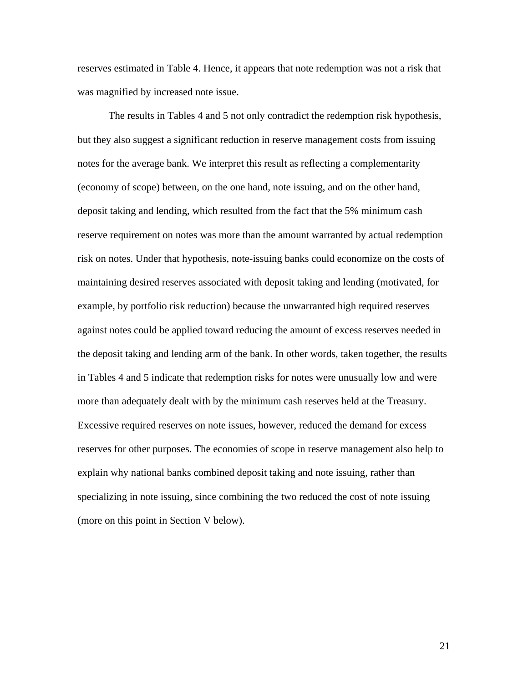reserves estimated in Table 4. Hence, it appears that note redemption was not a risk that was magnified by increased note issue.

The results in Tables 4 and 5 not only contradict the redemption risk hypothesis, but they also suggest a significant reduction in reserve management costs from issuing notes for the average bank. We interpret this result as reflecting a complementarity (economy of scope) between, on the one hand, note issuing, and on the other hand, deposit taking and lending, which resulted from the fact that the 5% minimum cash reserve requirement on notes was more than the amount warranted by actual redemption risk on notes. Under that hypothesis, note-issuing banks could economize on the costs of maintaining desired reserves associated with deposit taking and lending (motivated, for example, by portfolio risk reduction) because the unwarranted high required reserves against notes could be applied toward reducing the amount of excess reserves needed in the deposit taking and lending arm of the bank. In other words, taken together, the results in Tables 4 and 5 indicate that redemption risks for notes were unusually low and were more than adequately dealt with by the minimum cash reserves held at the Treasury. Excessive required reserves on note issues, however, reduced the demand for excess reserves for other purposes. The economies of scope in reserve management also help to explain why national banks combined deposit taking and note issuing, rather than specializing in note issuing, since combining the two reduced the cost of note issuing (more on this point in Section V below).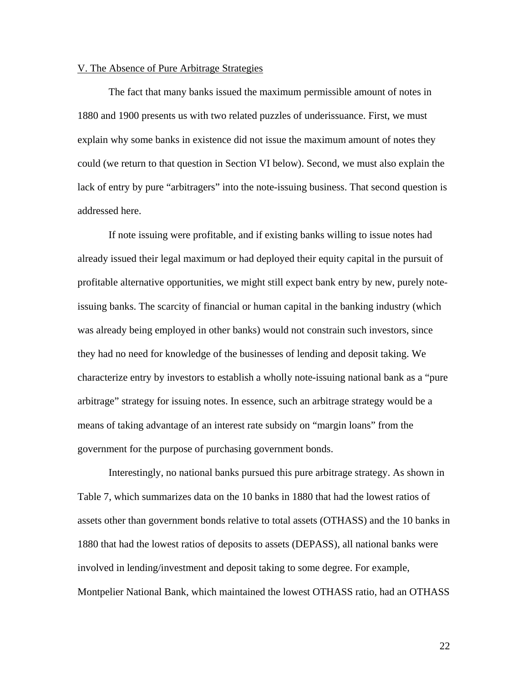## V. The Absence of Pure Arbitrage Strategies

The fact that many banks issued the maximum permissible amount of notes in 1880 and 1900 presents us with two related puzzles of underissuance. First, we must explain why some banks in existence did not issue the maximum amount of notes they could (we return to that question in Section VI below). Second, we must also explain the lack of entry by pure "arbitragers" into the note-issuing business. That second question is addressed here.

If note issuing were profitable, and if existing banks willing to issue notes had already issued their legal maximum or had deployed their equity capital in the pursuit of profitable alternative opportunities, we might still expect bank entry by new, purely noteissuing banks. The scarcity of financial or human capital in the banking industry (which was already being employed in other banks) would not constrain such investors, since they had no need for knowledge of the businesses of lending and deposit taking. We characterize entry by investors to establish a wholly note-issuing national bank as a "pure arbitrage" strategy for issuing notes. In essence, such an arbitrage strategy would be a means of taking advantage of an interest rate subsidy on "margin loans" from the government for the purpose of purchasing government bonds.

Interestingly, no national banks pursued this pure arbitrage strategy. As shown in Table 7, which summarizes data on the 10 banks in 1880 that had the lowest ratios of assets other than government bonds relative to total assets (OTHASS) and the 10 banks in 1880 that had the lowest ratios of deposits to assets (DEPASS), all national banks were involved in lending/investment and deposit taking to some degree. For example, Montpelier National Bank, which maintained the lowest OTHASS ratio, had an OTHASS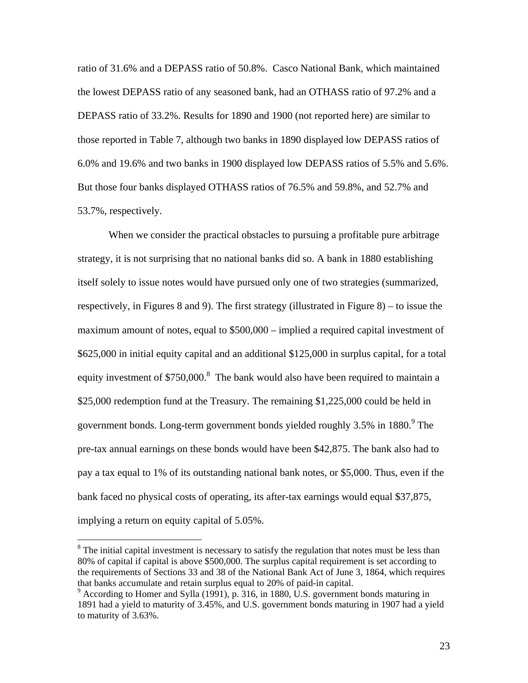ratio of 31.6% and a DEPASS ratio of 50.8%. Casco National Bank, which maintained the lowest DEPASS ratio of any seasoned bank, had an OTHASS ratio of 97.2% and a DEPASS ratio of 33.2%. Results for 1890 and 1900 (not reported here) are similar to those reported in Table 7, although two banks in 1890 displayed low DEPASS ratios of 6.0% and 19.6% and two banks in 1900 displayed low DEPASS ratios of 5.5% and 5.6%. But those four banks displayed OTHASS ratios of 76.5% and 59.8%, and 52.7% and 53.7%, respectively.

When we consider the practical obstacles to pursuing a profitable pure arbitrage strategy, it is not surprising that no national banks did so. A bank in 1880 establishing itself solely to issue notes would have pursued only one of two strategies (summarized, respectively, in Figures 8 and 9). The first strategy (illustrated in Figure 8) – to issue the maximum amount of notes, equal to \$500,000 – implied a required capital investment of \$625,000 in initial equity capital and an additional \$125,000 in surplus capital, for a total equity investment of \$750,000.<sup>8</sup> The bank would also have been required to maintain a \$25,000 redemption fund at the Treasury. The remaining \$1,225,000 could be held in government bonds. Long-term government bonds yielded roughly 3.5% in 1880.<sup>9</sup> The pre-tax annual earnings on these bonds would have been \$42,875. The bank also had to pay a tax equal to 1% of its outstanding national bank notes, or \$5,000. Thus, even if the bank faced no physical costs of operating, its after-tax earnings would equal \$37,875, implying a return on equity capital of 5.05%.

 $\overline{a}$ 

 $8$  The initial capital investment is necessary to satisfy the regulation that notes must be less than 80% of capital if capital is above \$500,000. The surplus capital requirement is set according to the requirements of Sections 33 and 38 of the National Bank Act of June 3, 1864, which requires that banks accumulate and retain surplus equal to 20% of paid-in capital.

<sup>&</sup>lt;sup>9</sup> According to Homer and Sylla (1991), p. 316, in 1880, U.S. government bonds maturing in 1891 had a yield to maturity of 3.45%, and U.S. government bonds maturing in 1907 had a yield to maturity of 3.63%.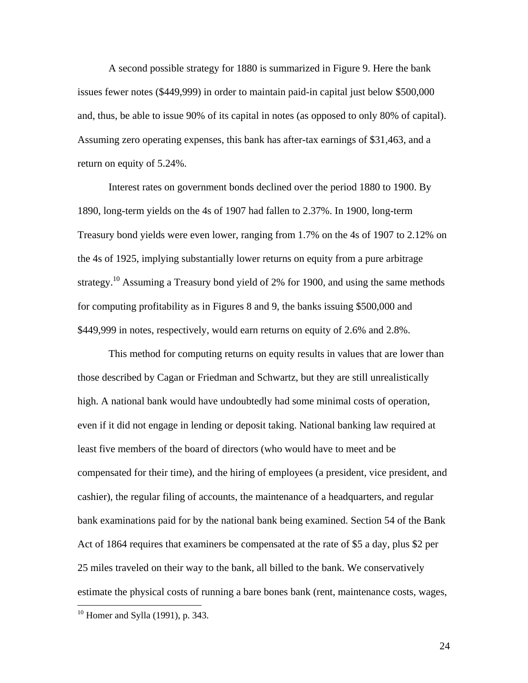A second possible strategy for 1880 is summarized in Figure 9. Here the bank issues fewer notes (\$449,999) in order to maintain paid-in capital just below \$500,000 and, thus, be able to issue 90% of its capital in notes (as opposed to only 80% of capital). Assuming zero operating expenses, this bank has after-tax earnings of \$31,463, and a return on equity of 5.24%.

Interest rates on government bonds declined over the period 1880 to 1900. By 1890, long-term yields on the 4s of 1907 had fallen to 2.37%. In 1900, long-term Treasury bond yields were even lower, ranging from 1.7% on the 4s of 1907 to 2.12% on the 4s of 1925, implying substantially lower returns on equity from a pure arbitrage strategy.<sup>10</sup> Assuming a Treasury bond yield of 2% for 1900, and using the same methods for computing profitability as in Figures 8 and 9, the banks issuing \$500,000 and \$449,999 in notes, respectively, would earn returns on equity of 2.6% and 2.8%.

This method for computing returns on equity results in values that are lower than those described by Cagan or Friedman and Schwartz, but they are still unrealistically high. A national bank would have undoubtedly had some minimal costs of operation, even if it did not engage in lending or deposit taking. National banking law required at least five members of the board of directors (who would have to meet and be compensated for their time), and the hiring of employees (a president, vice president, and cashier), the regular filing of accounts, the maintenance of a headquarters, and regular bank examinations paid for by the national bank being examined. Section 54 of the Bank Act of 1864 requires that examiners be compensated at the rate of \$5 a day, plus \$2 per 25 miles traveled on their way to the bank, all billed to the bank. We conservatively estimate the physical costs of running a bare bones bank (rent, maintenance costs, wages,

<u>.</u>

 $10$  Homer and Sylla (1991), p. 343.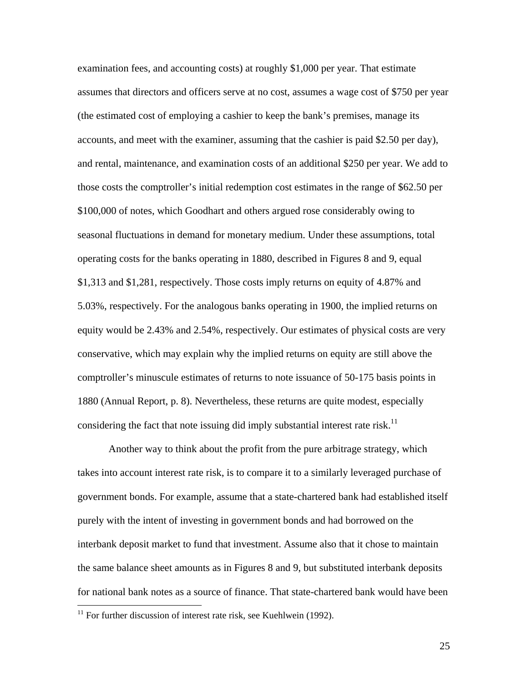examination fees, and accounting costs) at roughly \$1,000 per year. That estimate assumes that directors and officers serve at no cost, assumes a wage cost of \$750 per year (the estimated cost of employing a cashier to keep the bank's premises, manage its accounts, and meet with the examiner, assuming that the cashier is paid \$2.50 per day), and rental, maintenance, and examination costs of an additional \$250 per year. We add to those costs the comptroller's initial redemption cost estimates in the range of \$62.50 per \$100,000 of notes, which Goodhart and others argued rose considerably owing to seasonal fluctuations in demand for monetary medium. Under these assumptions, total operating costs for the banks operating in 1880, described in Figures 8 and 9, equal \$1,313 and \$1,281, respectively. Those costs imply returns on equity of 4.87% and 5.03%, respectively. For the analogous banks operating in 1900, the implied returns on equity would be 2.43% and 2.54%, respectively. Our estimates of physical costs are very conservative, which may explain why the implied returns on equity are still above the comptroller's minuscule estimates of returns to note issuance of 50-175 basis points in 1880 (Annual Report, p. 8). Nevertheless, these returns are quite modest, especially considering the fact that note issuing did imply substantial interest rate risk.<sup>11</sup>

Another way to think about the profit from the pure arbitrage strategy, which takes into account interest rate risk, is to compare it to a similarly leveraged purchase of government bonds. For example, assume that a state-chartered bank had established itself purely with the intent of investing in government bonds and had borrowed on the interbank deposit market to fund that investment. Assume also that it chose to maintain the same balance sheet amounts as in Figures 8 and 9, but substituted interbank deposits for national bank notes as a source of finance. That state-chartered bank would have been

 $\overline{a}$ 

 $11$  For further discussion of interest rate risk, see Kuehlwein (1992).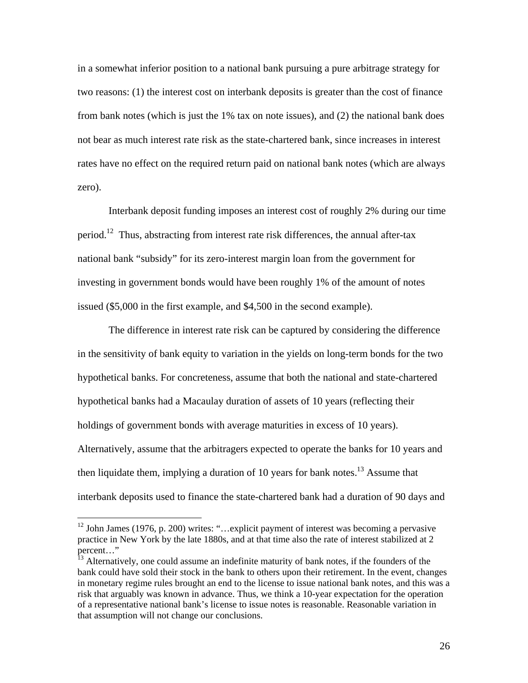in a somewhat inferior position to a national bank pursuing a pure arbitrage strategy for two reasons: (1) the interest cost on interbank deposits is greater than the cost of finance from bank notes (which is just the 1% tax on note issues), and (2) the national bank does not bear as much interest rate risk as the state-chartered bank, since increases in interest rates have no effect on the required return paid on national bank notes (which are always zero).

Interbank deposit funding imposes an interest cost of roughly 2% during our time period.<sup>12</sup> Thus, abstracting from interest rate risk differences, the annual after-tax national bank "subsidy" for its zero-interest margin loan from the government for investing in government bonds would have been roughly 1% of the amount of notes issued (\$5,000 in the first example, and \$4,500 in the second example).

The difference in interest rate risk can be captured by considering the difference in the sensitivity of bank equity to variation in the yields on long-term bonds for the two hypothetical banks. For concreteness, assume that both the national and state-chartered hypothetical banks had a Macaulay duration of assets of 10 years (reflecting their holdings of government bonds with average maturities in excess of 10 years). Alternatively, assume that the arbitragers expected to operate the banks for 10 years and then liquidate them, implying a duration of 10 years for bank notes.<sup>13</sup> Assume that interbank deposits used to finance the state-chartered bank had a duration of 90 days and

 $\overline{a}$ 

 $12$  John James (1976, p. 200) writes: "... explicit payment of interest was becoming a pervasive practice in New York by the late 1880s, and at that time also the rate of interest stabilized at 2 percent…"

<sup>&</sup>lt;sup>13</sup> Alternatively, one could assume an indefinite maturity of bank notes, if the founders of the bank could have sold their stock in the bank to others upon their retirement. In the event, changes in monetary regime rules brought an end to the license to issue national bank notes, and this was a risk that arguably was known in advance. Thus, we think a 10-year expectation for the operation of a representative national bank's license to issue notes is reasonable. Reasonable variation in that assumption will not change our conclusions.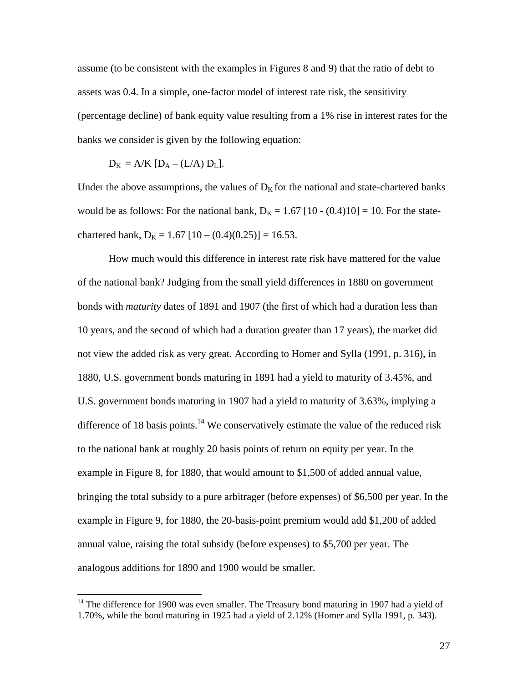assume (to be consistent with the examples in Figures 8 and 9) that the ratio of debt to assets was 0.4. In a simple, one-factor model of interest rate risk, the sensitivity (percentage decline) of bank equity value resulting from a 1% rise in interest rates for the banks we consider is given by the following equation:

$$
D_K = A/K [D_A - (L/A) D_L].
$$

 $\overline{a}$ 

Under the above assumptions, the values of  $D<sub>K</sub>$  for the national and state-chartered banks would be as follows: For the national bank,  $D_K = 1.67$  [10 - (0.4)10] = 10. For the statechartered bank,  $D_K = 1.67$  [10 – (0.4)(0.25)] = 16.53.

 How much would this difference in interest rate risk have mattered for the value of the national bank? Judging from the small yield differences in 1880 on government bonds with *maturity* dates of 1891 and 1907 (the first of which had a duration less than 10 years, and the second of which had a duration greater than 17 years), the market did not view the added risk as very great. According to Homer and Sylla (1991, p. 316), in 1880, U.S. government bonds maturing in 1891 had a yield to maturity of 3.45%, and U.S. government bonds maturing in 1907 had a yield to maturity of 3.63%, implying a difference of 18 basis points.<sup>14</sup> We conservatively estimate the value of the reduced risk to the national bank at roughly 20 basis points of return on equity per year. In the example in Figure 8, for 1880, that would amount to \$1,500 of added annual value, bringing the total subsidy to a pure arbitrager (before expenses) of \$6,500 per year. In the example in Figure 9, for 1880, the 20-basis-point premium would add \$1,200 of added annual value, raising the total subsidy (before expenses) to \$5,700 per year. The analogous additions for 1890 and 1900 would be smaller.

 $14$  The difference for 1900 was even smaller. The Treasury bond maturing in 1907 had a yield of 1.70%, while the bond maturing in 1925 had a yield of 2.12% (Homer and Sylla 1991, p. 343).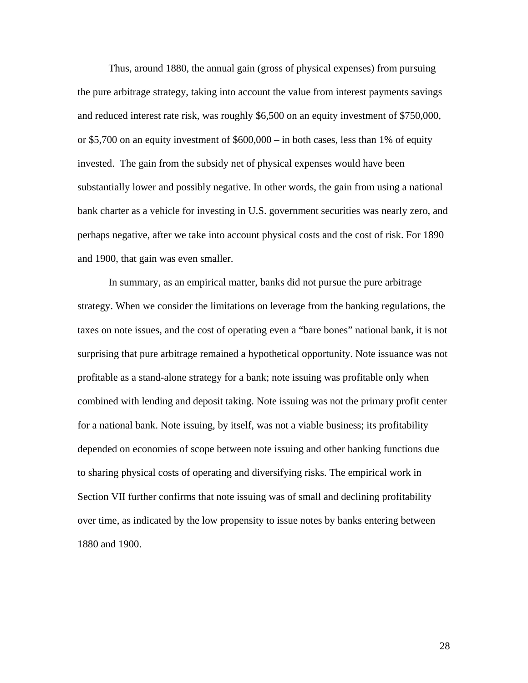Thus, around 1880, the annual gain (gross of physical expenses) from pursuing the pure arbitrage strategy, taking into account the value from interest payments savings and reduced interest rate risk, was roughly \$6,500 on an equity investment of \$750,000, or \$5,700 on an equity investment of \$600,000 – in both cases, less than 1% of equity invested. The gain from the subsidy net of physical expenses would have been substantially lower and possibly negative. In other words, the gain from using a national bank charter as a vehicle for investing in U.S. government securities was nearly zero, and perhaps negative, after we take into account physical costs and the cost of risk. For 1890 and 1900, that gain was even smaller.

In summary, as an empirical matter, banks did not pursue the pure arbitrage strategy. When we consider the limitations on leverage from the banking regulations, the taxes on note issues, and the cost of operating even a "bare bones" national bank, it is not surprising that pure arbitrage remained a hypothetical opportunity. Note issuance was not profitable as a stand-alone strategy for a bank; note issuing was profitable only when combined with lending and deposit taking. Note issuing was not the primary profit center for a national bank. Note issuing, by itself, was not a viable business; its profitability depended on economies of scope between note issuing and other banking functions due to sharing physical costs of operating and diversifying risks. The empirical work in Section VII further confirms that note issuing was of small and declining profitability over time, as indicated by the low propensity to issue notes by banks entering between 1880 and 1900.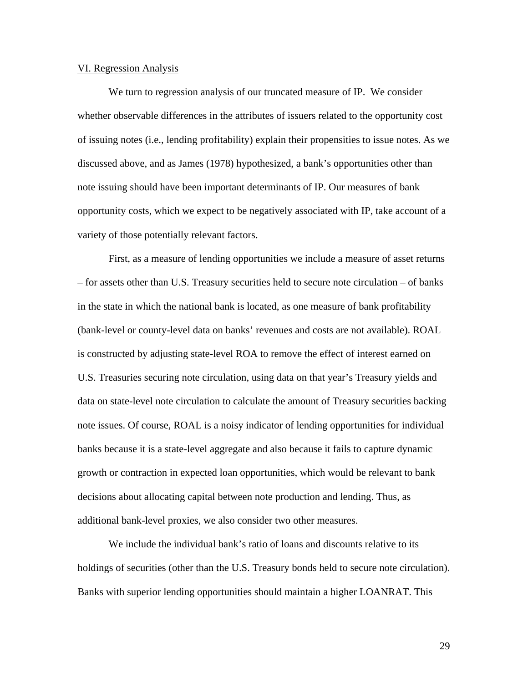#### VI. Regression Analysis

We turn to regression analysis of our truncated measure of IP. We consider whether observable differences in the attributes of issuers related to the opportunity cost of issuing notes (i.e., lending profitability) explain their propensities to issue notes. As we discussed above, and as James (1978) hypothesized, a bank's opportunities other than note issuing should have been important determinants of IP. Our measures of bank opportunity costs, which we expect to be negatively associated with IP, take account of a variety of those potentially relevant factors.

First, as a measure of lending opportunities we include a measure of asset returns – for assets other than U.S. Treasury securities held to secure note circulation – of banks in the state in which the national bank is located, as one measure of bank profitability (bank-level or county-level data on banks' revenues and costs are not available). ROAL is constructed by adjusting state-level ROA to remove the effect of interest earned on U.S. Treasuries securing note circulation, using data on that year's Treasury yields and data on state-level note circulation to calculate the amount of Treasury securities backing note issues. Of course, ROAL is a noisy indicator of lending opportunities for individual banks because it is a state-level aggregate and also because it fails to capture dynamic growth or contraction in expected loan opportunities, which would be relevant to bank decisions about allocating capital between note production and lending. Thus, as additional bank-level proxies, we also consider two other measures.

We include the individual bank's ratio of loans and discounts relative to its holdings of securities (other than the U.S. Treasury bonds held to secure note circulation). Banks with superior lending opportunities should maintain a higher LOANRAT. This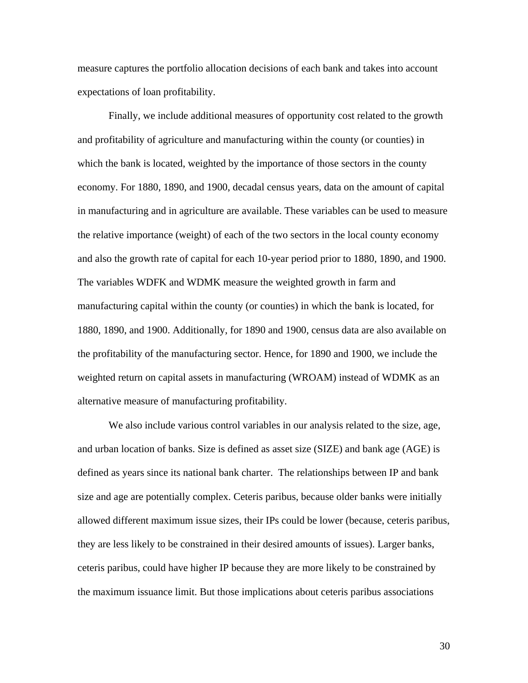measure captures the portfolio allocation decisions of each bank and takes into account expectations of loan profitability.

Finally, we include additional measures of opportunity cost related to the growth and profitability of agriculture and manufacturing within the county (or counties) in which the bank is located, weighted by the importance of those sectors in the county economy. For 1880, 1890, and 1900, decadal census years, data on the amount of capital in manufacturing and in agriculture are available. These variables can be used to measure the relative importance (weight) of each of the two sectors in the local county economy and also the growth rate of capital for each 10-year period prior to 1880, 1890, and 1900. The variables WDFK and WDMK measure the weighted growth in farm and manufacturing capital within the county (or counties) in which the bank is located, for 1880, 1890, and 1900. Additionally, for 1890 and 1900, census data are also available on the profitability of the manufacturing sector. Hence, for 1890 and 1900, we include the weighted return on capital assets in manufacturing (WROAM) instead of WDMK as an alternative measure of manufacturing profitability.

We also include various control variables in our analysis related to the size, age, and urban location of banks. Size is defined as asset size (SIZE) and bank age (AGE) is defined as years since its national bank charter. The relationships between IP and bank size and age are potentially complex. Ceteris paribus, because older banks were initially allowed different maximum issue sizes, their IPs could be lower (because, ceteris paribus, they are less likely to be constrained in their desired amounts of issues). Larger banks, ceteris paribus, could have higher IP because they are more likely to be constrained by the maximum issuance limit. But those implications about ceteris paribus associations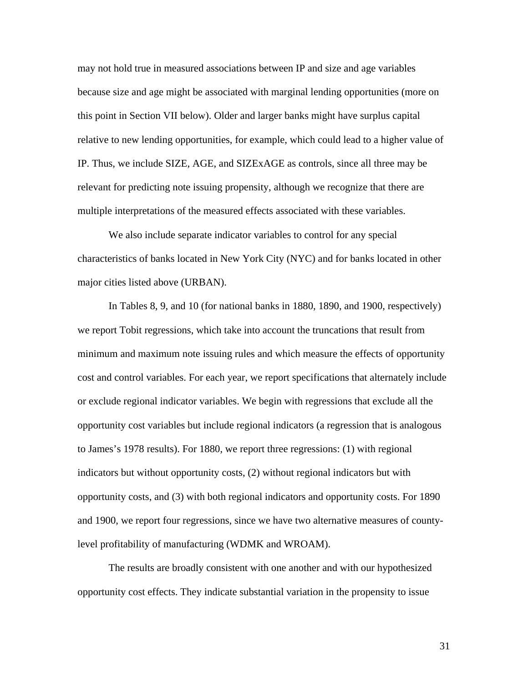may not hold true in measured associations between IP and size and age variables because size and age might be associated with marginal lending opportunities (more on this point in Section VII below). Older and larger banks might have surplus capital relative to new lending opportunities, for example, which could lead to a higher value of IP. Thus, we include SIZE, AGE, and SIZExAGE as controls, since all three may be relevant for predicting note issuing propensity, although we recognize that there are multiple interpretations of the measured effects associated with these variables.

We also include separate indicator variables to control for any special characteristics of banks located in New York City (NYC) and for banks located in other major cities listed above (URBAN).

In Tables 8, 9, and 10 (for national banks in 1880, 1890, and 1900, respectively) we report Tobit regressions, which take into account the truncations that result from minimum and maximum note issuing rules and which measure the effects of opportunity cost and control variables. For each year, we report specifications that alternately include or exclude regional indicator variables. We begin with regressions that exclude all the opportunity cost variables but include regional indicators (a regression that is analogous to James's 1978 results). For 1880, we report three regressions: (1) with regional indicators but without opportunity costs, (2) without regional indicators but with opportunity costs, and (3) with both regional indicators and opportunity costs. For 1890 and 1900, we report four regressions, since we have two alternative measures of countylevel profitability of manufacturing (WDMK and WROAM).

The results are broadly consistent with one another and with our hypothesized opportunity cost effects. They indicate substantial variation in the propensity to issue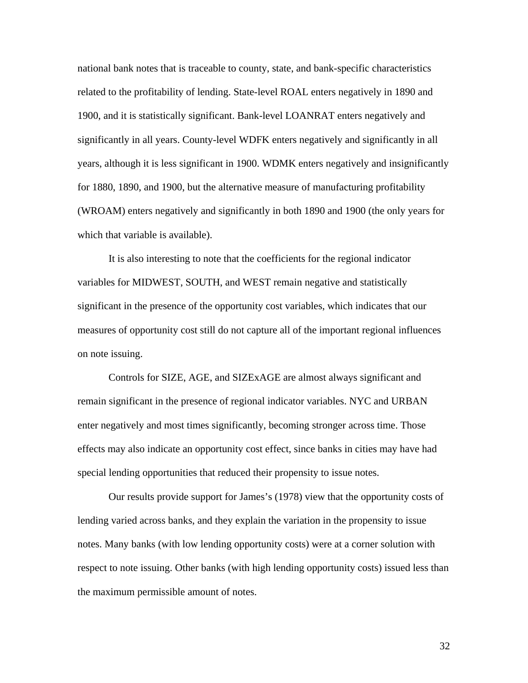national bank notes that is traceable to county, state, and bank-specific characteristics related to the profitability of lending. State-level ROAL enters negatively in 1890 and 1900, and it is statistically significant. Bank-level LOANRAT enters negatively and significantly in all years. County-level WDFK enters negatively and significantly in all years, although it is less significant in 1900. WDMK enters negatively and insignificantly for 1880, 1890, and 1900, but the alternative measure of manufacturing profitability (WROAM) enters negatively and significantly in both 1890 and 1900 (the only years for which that variable is available).

It is also interesting to note that the coefficients for the regional indicator variables for MIDWEST, SOUTH, and WEST remain negative and statistically significant in the presence of the opportunity cost variables, which indicates that our measures of opportunity cost still do not capture all of the important regional influences on note issuing.

Controls for SIZE, AGE, and SIZExAGE are almost always significant and remain significant in the presence of regional indicator variables. NYC and URBAN enter negatively and most times significantly, becoming stronger across time. Those effects may also indicate an opportunity cost effect, since banks in cities may have had special lending opportunities that reduced their propensity to issue notes.

Our results provide support for James's (1978) view that the opportunity costs of lending varied across banks, and they explain the variation in the propensity to issue notes. Many banks (with low lending opportunity costs) were at a corner solution with respect to note issuing. Other banks (with high lending opportunity costs) issued less than the maximum permissible amount of notes.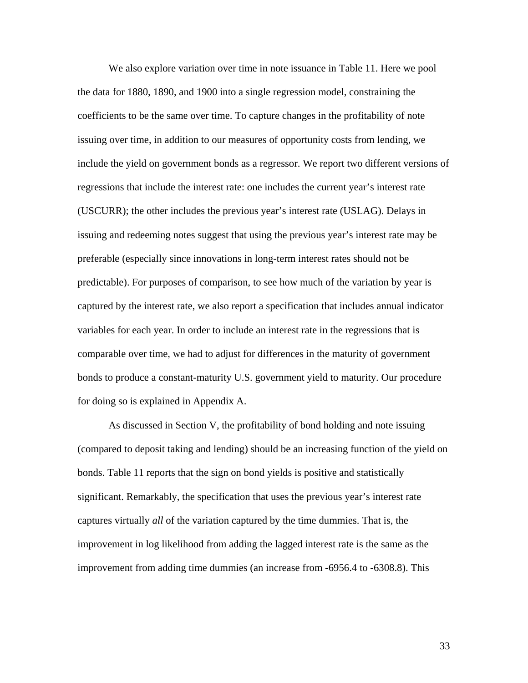We also explore variation over time in note issuance in Table 11. Here we pool the data for 1880, 1890, and 1900 into a single regression model, constraining the coefficients to be the same over time. To capture changes in the profitability of note issuing over time, in addition to our measures of opportunity costs from lending, we include the yield on government bonds as a regressor. We report two different versions of regressions that include the interest rate: one includes the current year's interest rate (USCURR); the other includes the previous year's interest rate (USLAG). Delays in issuing and redeeming notes suggest that using the previous year's interest rate may be preferable (especially since innovations in long-term interest rates should not be predictable). For purposes of comparison, to see how much of the variation by year is captured by the interest rate, we also report a specification that includes annual indicator variables for each year. In order to include an interest rate in the regressions that is comparable over time, we had to adjust for differences in the maturity of government bonds to produce a constant-maturity U.S. government yield to maturity. Our procedure for doing so is explained in Appendix A.

As discussed in Section V, the profitability of bond holding and note issuing (compared to deposit taking and lending) should be an increasing function of the yield on bonds. Table 11 reports that the sign on bond yields is positive and statistically significant. Remarkably, the specification that uses the previous year's interest rate captures virtually *all* of the variation captured by the time dummies. That is, the improvement in log likelihood from adding the lagged interest rate is the same as the improvement from adding time dummies (an increase from -6956.4 to -6308.8). This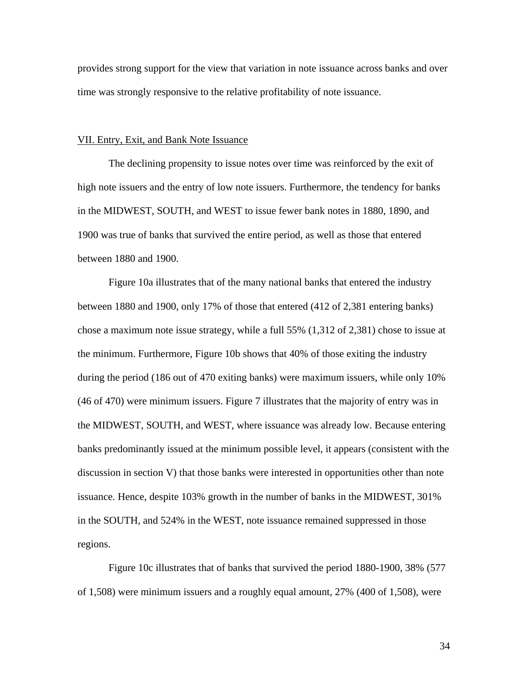provides strong support for the view that variation in note issuance across banks and over time was strongly responsive to the relative profitability of note issuance.

#### VII. Entry, Exit, and Bank Note Issuance

The declining propensity to issue notes over time was reinforced by the exit of high note issuers and the entry of low note issuers. Furthermore, the tendency for banks in the MIDWEST, SOUTH, and WEST to issue fewer bank notes in 1880, 1890, and 1900 was true of banks that survived the entire period, as well as those that entered between 1880 and 1900.

Figure 10a illustrates that of the many national banks that entered the industry between 1880 and 1900, only 17% of those that entered (412 of 2,381 entering banks) chose a maximum note issue strategy, while a full 55% (1,312 of 2,381) chose to issue at the minimum. Furthermore, Figure 10b shows that 40% of those exiting the industry during the period (186 out of 470 exiting banks) were maximum issuers, while only 10% (46 of 470) were minimum issuers. Figure 7 illustrates that the majority of entry was in the MIDWEST, SOUTH, and WEST, where issuance was already low. Because entering banks predominantly issued at the minimum possible level, it appears (consistent with the discussion in section V) that those banks were interested in opportunities other than note issuance. Hence, despite 103% growth in the number of banks in the MIDWEST, 301% in the SOUTH, and 524% in the WEST, note issuance remained suppressed in those regions.

Figure 10c illustrates that of banks that survived the period 1880-1900, 38% (577 of 1,508) were minimum issuers and a roughly equal amount, 27% (400 of 1,508), were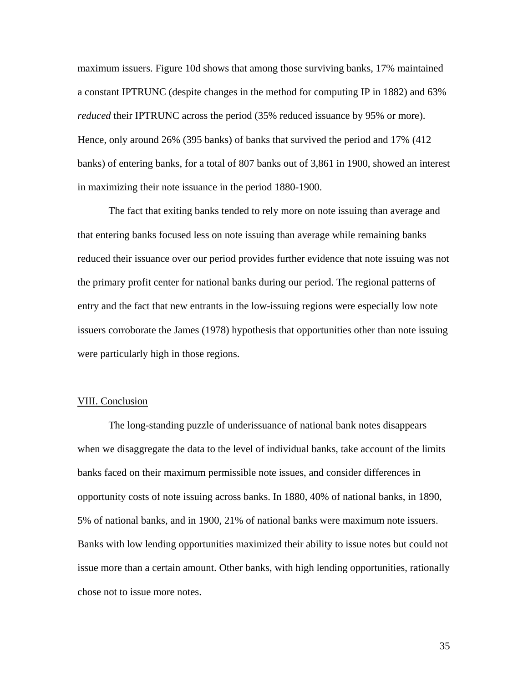maximum issuers. Figure 10d shows that among those surviving banks, 17% maintained a constant IPTRUNC (despite changes in the method for computing IP in 1882) and 63% *reduced* their IPTRUNC across the period (35% reduced issuance by 95% or more). Hence, only around 26% (395 banks) of banks that survived the period and 17% (412 banks) of entering banks, for a total of 807 banks out of 3,861 in 1900, showed an interest in maximizing their note issuance in the period 1880-1900.

The fact that exiting banks tended to rely more on note issuing than average and that entering banks focused less on note issuing than average while remaining banks reduced their issuance over our period provides further evidence that note issuing was not the primary profit center for national banks during our period. The regional patterns of entry and the fact that new entrants in the low-issuing regions were especially low note issuers corroborate the James (1978) hypothesis that opportunities other than note issuing were particularly high in those regions.

## VIII. Conclusion

The long-standing puzzle of underissuance of national bank notes disappears when we disaggregate the data to the level of individual banks, take account of the limits banks faced on their maximum permissible note issues, and consider differences in opportunity costs of note issuing across banks. In 1880, 40% of national banks, in 1890, 5% of national banks, and in 1900, 21% of national banks were maximum note issuers. Banks with low lending opportunities maximized their ability to issue notes but could not issue more than a certain amount. Other banks, with high lending opportunities, rationally chose not to issue more notes.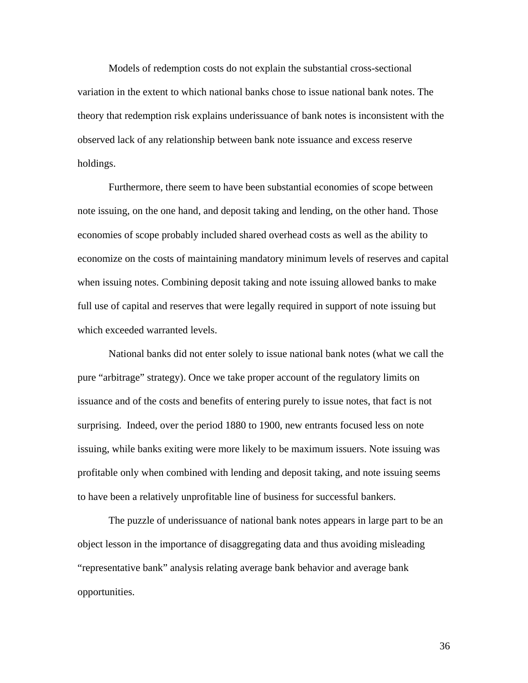Models of redemption costs do not explain the substantial cross-sectional variation in the extent to which national banks chose to issue national bank notes. The theory that redemption risk explains underissuance of bank notes is inconsistent with the observed lack of any relationship between bank note issuance and excess reserve holdings.

Furthermore, there seem to have been substantial economies of scope between note issuing, on the one hand, and deposit taking and lending, on the other hand. Those economies of scope probably included shared overhead costs as well as the ability to economize on the costs of maintaining mandatory minimum levels of reserves and capital when issuing notes. Combining deposit taking and note issuing allowed banks to make full use of capital and reserves that were legally required in support of note issuing but which exceeded warranted levels.

National banks did not enter solely to issue national bank notes (what we call the pure "arbitrage" strategy). Once we take proper account of the regulatory limits on issuance and of the costs and benefits of entering purely to issue notes, that fact is not surprising. Indeed, over the period 1880 to 1900, new entrants focused less on note issuing, while banks exiting were more likely to be maximum issuers. Note issuing was profitable only when combined with lending and deposit taking, and note issuing seems to have been a relatively unprofitable line of business for successful bankers.

The puzzle of underissuance of national bank notes appears in large part to be an object lesson in the importance of disaggregating data and thus avoiding misleading "representative bank" analysis relating average bank behavior and average bank opportunities.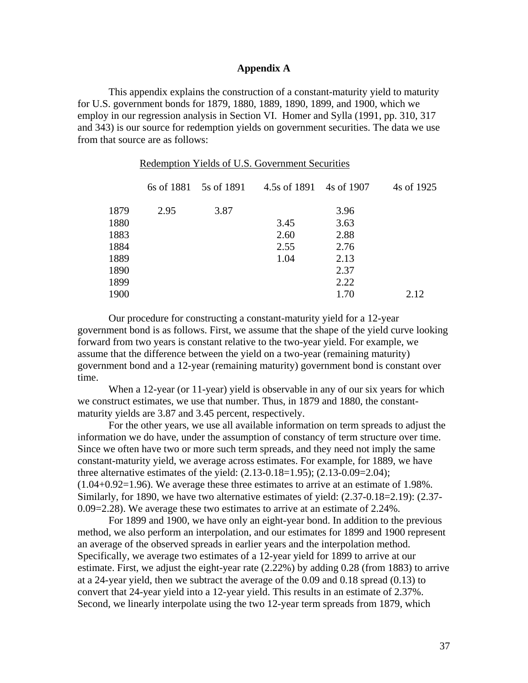## **Appendix A**

This appendix explains the construction of a constant-maturity yield to maturity for U.S. government bonds for 1879, 1880, 1889, 1890, 1899, and 1900, which we employ in our regression analysis in Section VI. Homer and Sylla (1991, pp. 310, 317 and 343) is our source for redemption yields on government securities. The data we use from that source are as follows:

Redemption Yields of U.S. Government Securities

|      |      | 6s of 1881 5s of 1891 | 4.5s of 1891 4s of 1907 |      | 4s of 1925 |
|------|------|-----------------------|-------------------------|------|------------|
| 1879 | 2.95 | 3.87                  |                         | 3.96 |            |
| 1880 |      |                       | 3.45                    | 3.63 |            |
| 1883 |      |                       | 2.60                    | 2.88 |            |
| 1884 |      |                       | 2.55                    | 2.76 |            |
| 1889 |      |                       | 1.04                    | 2.13 |            |
| 1890 |      |                       |                         | 2.37 |            |
| 1899 |      |                       |                         | 2.22 |            |
| 1900 |      |                       |                         | 1.70 | 2.12       |
|      |      |                       |                         |      |            |

Our procedure for constructing a constant-maturity yield for a 12-year government bond is as follows. First, we assume that the shape of the yield curve looking forward from two years is constant relative to the two-year yield. For example, we assume that the difference between the yield on a two-year (remaining maturity) government bond and a 12-year (remaining maturity) government bond is constant over time.

When a 12-year (or 11-year) yield is observable in any of our six years for which we construct estimates, we use that number. Thus, in 1879 and 1880, the constantmaturity yields are 3.87 and 3.45 percent, respectively.

For the other years, we use all available information on term spreads to adjust the information we do have, under the assumption of constancy of term structure over time. Since we often have two or more such term spreads, and they need not imply the same constant-maturity yield, we average across estimates. For example, for 1889, we have three alternative estimates of the yield: (2.13-0.18=1.95); (2.13-0.09=2.04); (1.04+0.92=1.96). We average these three estimates to arrive at an estimate of 1.98%. Similarly, for 1890, we have two alternative estimates of yield: (2.37-0.18=2.19): (2.37- 0.09=2.28). We average these two estimates to arrive at an estimate of 2.24%.

For 1899 and 1900, we have only an eight-year bond. In addition to the previous method, we also perform an interpolation, and our estimates for 1899 and 1900 represent an average of the observed spreads in earlier years and the interpolation method. Specifically, we average two estimates of a 12-year yield for 1899 to arrive at our estimate. First, we adjust the eight-year rate (2.22%) by adding 0.28 (from 1883) to arrive at a 24-year yield, then we subtract the average of the 0.09 and 0.18 spread (0.13) to convert that 24-year yield into a 12-year yield. This results in an estimate of 2.37%. Second, we linearly interpolate using the two 12-year term spreads from 1879, which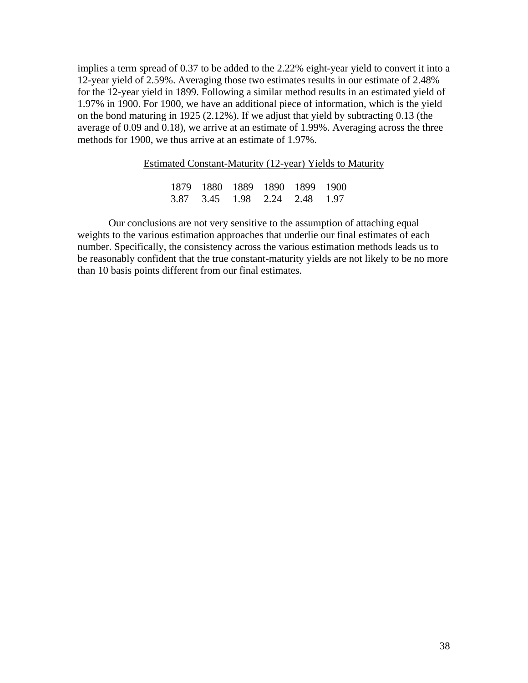implies a term spread of 0.37 to be added to the 2.22% eight-year yield to convert it into a 12-year yield of 2.59%. Averaging those two estimates results in our estimate of 2.48% for the 12-year yield in 1899. Following a similar method results in an estimated yield of 1.97% in 1900. For 1900, we have an additional piece of information, which is the yield on the bond maturing in 1925 (2.12%). If we adjust that yield by subtracting 0.13 (the average of 0.09 and 0.18), we arrive at an estimate of 1.99%. Averaging across the three methods for 1900, we thus arrive at an estimate of 1.97%.

| Estimated Constant-Maturity (12-year) Yields to Maturity |                               |  |  |  |  |  |  |  |  |
|----------------------------------------------------------|-------------------------------|--|--|--|--|--|--|--|--|
|                                                          |                               |  |  |  |  |  |  |  |  |
|                                                          | 1879 1880 1889 1890 1899 1900 |  |  |  |  |  |  |  |  |
|                                                          | 3.87 3.45 1.98 2.24 2.48 1.97 |  |  |  |  |  |  |  |  |

 Our conclusions are not very sensitive to the assumption of attaching equal weights to the various estimation approaches that underlie our final estimates of each number. Specifically, the consistency across the various estimation methods leads us to be reasonably confident that the true constant-maturity yields are not likely to be no more than 10 basis points different from our final estimates.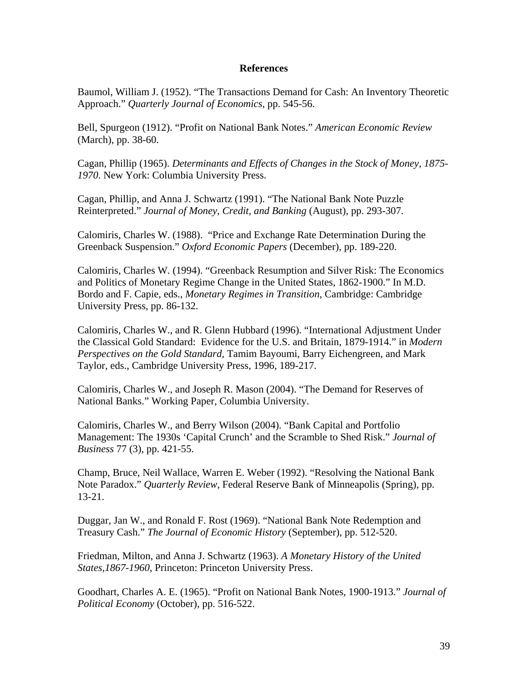## **References**

Baumol, William J. (1952). "The Transactions Demand for Cash: An Inventory Theoretic Approach." *Quarterly Journal of Economics*, pp. 545-56.

Bell, Spurgeon (1912). "Profit on National Bank Notes." *American Economic Review* (March), pp. 38-60.

Cagan, Phillip (1965). *Determinants and Effects of Changes in the Stock of Money, 1875- 1970*. New York: Columbia University Press.

Cagan, Phillip, and Anna J. Schwartz (1991). "The National Bank Note Puzzle Reinterpreted." *Journal of Money, Credit, and Banking* (August), pp. 293-307.

Calomiris, Charles W. (1988). "Price and Exchange Rate Determination During the Greenback Suspension." *Oxford Economic Papers* (December), pp. 189-220.

Calomiris, Charles W. (1994). "Greenback Resumption and Silver Risk: The Economics and Politics of Monetary Regime Change in the United States, 1862-1900." In M.D. Bordo and F. Capie, eds., *Monetary Regimes in Transition*, Cambridge: Cambridge University Press, pp. 86-132.

Calomiris, Charles W., and R. Glenn Hubbard (1996). "International Adjustment Under the Classical Gold Standard: Evidence for the U.S. and Britain, 1879-1914." in *Modern Perspectives on the Gold Standard*, Tamim Bayoumi, Barry Eichengreen, and Mark Taylor, eds., Cambridge University Press, 1996, 189-217.

Calomiris, Charles W., and Joseph R. Mason (2004). "The Demand for Reserves of National Banks." Working Paper, Columbia University.

Calomiris, Charles W., and Berry Wilson (2004). "Bank Capital and Portfolio Management: The 1930s 'Capital Crunch' and the Scramble to Shed Risk." *Journal of Business* 77 (3), pp. 421-55.

Champ, Bruce, Neil Wallace, Warren E. Weber (1992). "Resolving the National Bank Note Paradox." *Quarterly Review*, Federal Reserve Bank of Minneapolis (Spring), pp. 13-21.

Duggar, Jan W., and Ronald F. Rost (1969). "National Bank Note Redemption and Treasury Cash." *The Journal of Economic History* (September), pp. 512-520.

Friedman, Milton, and Anna J. Schwartz (1963). *A Monetary History of the United States,1867-1960*, Princeton: Princeton University Press.

Goodhart, Charles A. E. (1965). "Profit on National Bank Notes, 1900-1913." *Journal of Political Economy* (October), pp. 516-522.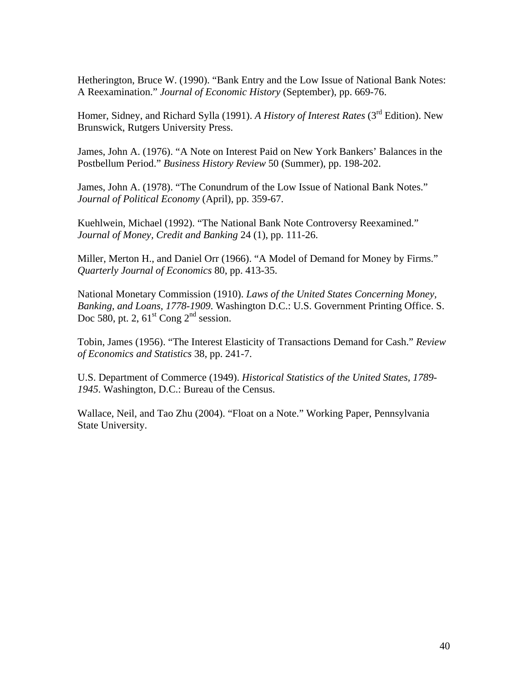Hetherington, Bruce W. (1990). "Bank Entry and the Low Issue of National Bank Notes: A Reexamination." *Journal of Economic History* (September), pp. 669-76.

Homer, Sidney, and Richard Sylla (1991). *A History of Interest Rates* (3<sup>rd</sup> Edition). New Brunswick, Rutgers University Press.

James, John A. (1976). "A Note on Interest Paid on New York Bankers' Balances in the Postbellum Period." *Business History Review* 50 (Summer), pp. 198-202.

James, John A. (1978). "The Conundrum of the Low Issue of National Bank Notes." *Journal of Political Economy* (April), pp. 359-67.

Kuehlwein, Michael (1992). "The National Bank Note Controversy Reexamined." *Journal of Money, Credit and Banking* 24 (1), pp. 111-26.

Miller, Merton H., and Daniel Orr (1966). "A Model of Demand for Money by Firms." *Quarterly Journal of Economics* 80, pp. 413-35.

National Monetary Commission (1910). *Laws of the United States Concerning Money, Banking, and Loans, 1778-1909*. Washington D.C.: U.S. Government Printing Office. S. Doc 580, pt. 2,  $61<sup>st</sup>$  Cong  $2<sup>nd</sup>$  session.

Tobin, James (1956). "The Interest Elasticity of Transactions Demand for Cash." *Review of Economics and Statistics* 38, pp. 241-7.

U.S. Department of Commerce (1949). *Historical Statistics of the United States, 1789- 1945*. Washington, D.C.: Bureau of the Census.

Wallace, Neil, and Tao Zhu (2004). "Float on a Note." Working Paper, Pennsylvania State University.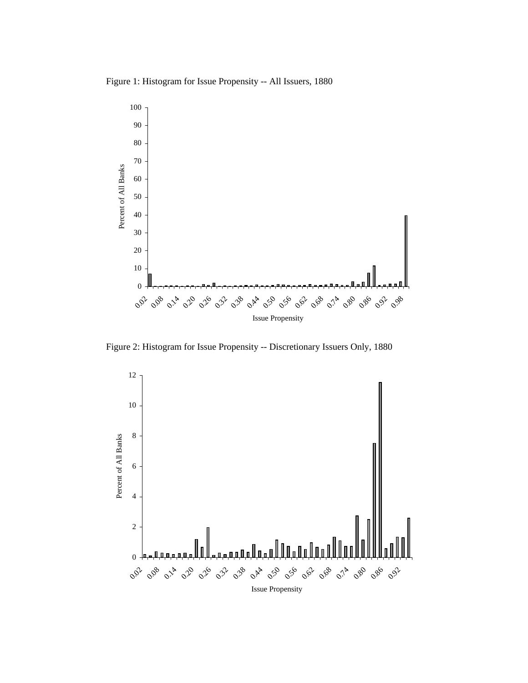Figure 1: Histogram for Issue Propensity -- All Issuers, 1880



Figure 2: Histogram for Issue Propensity -- Discretionary Issuers Only, 1880

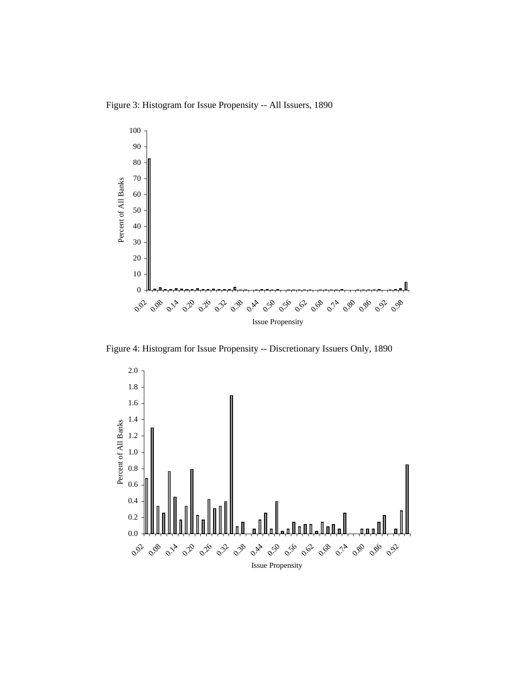Figure 3: Histogram for Issue Propensity -- All Issuers, 1890



Figure 4: Histogram for Issue Propensity -- Discretionary Issuers Only, 1890

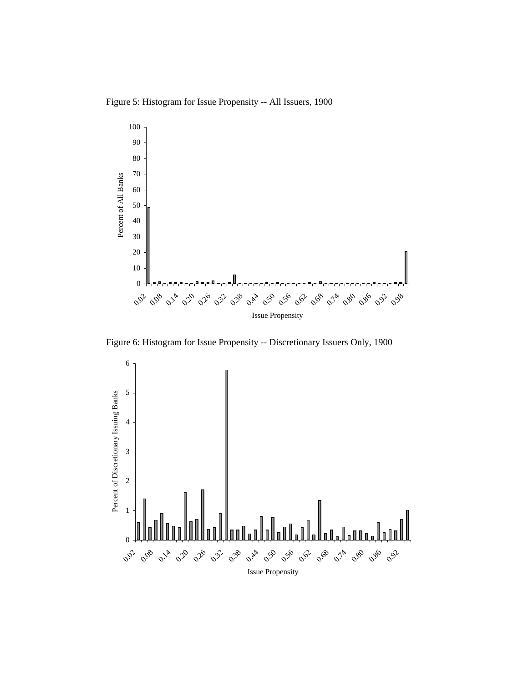Figure 5: Histogram for Issue Propensity -- All Issuers, 1900



Figure 6: Histogram for Issue Propensity -- Discretionary Issuers Only, 1900

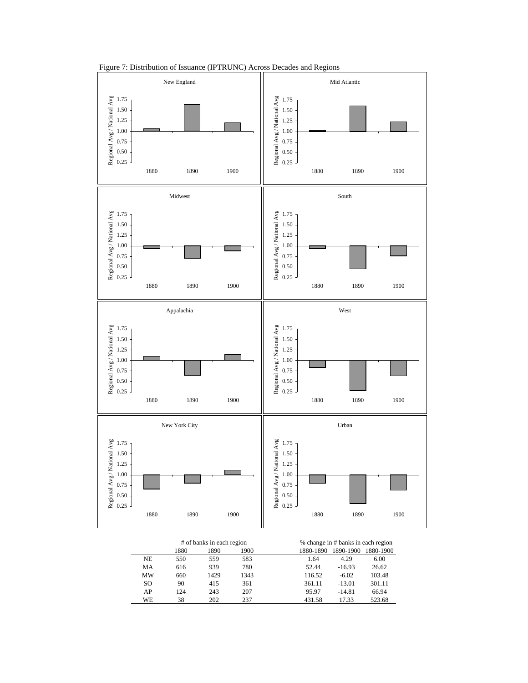

Figure 7: Distribution of Issuance (IPTRUNC) Across Decades and Regions

|     |      | # of banks in each region |      | % change in # banks in each region  |
|-----|------|---------------------------|------|-------------------------------------|
|     | 1880 | 1890                      | 1900 | 1890-1900<br>1880-1890<br>1880-1900 |
| NE  | 550  | 559                       | 583  | 4.29<br>6.00<br>1.64                |
| MA  | 616  | 939                       | 780  | 26.62<br>$-16.93$<br>52.44          |
| MW  | 660  | 1429                      | 1343 | 103.48<br>116.52<br>$-6.02$         |
| SO. | 90   | 415                       | 361  | 301.11<br>$-13.01$<br>361.11        |
| AP  | 124  | 243                       | 207  | $-14.81$<br>95.97<br>66.94          |
| WE  | 38   | 202                       | 237  | 523.68<br>17.33<br>431.58           |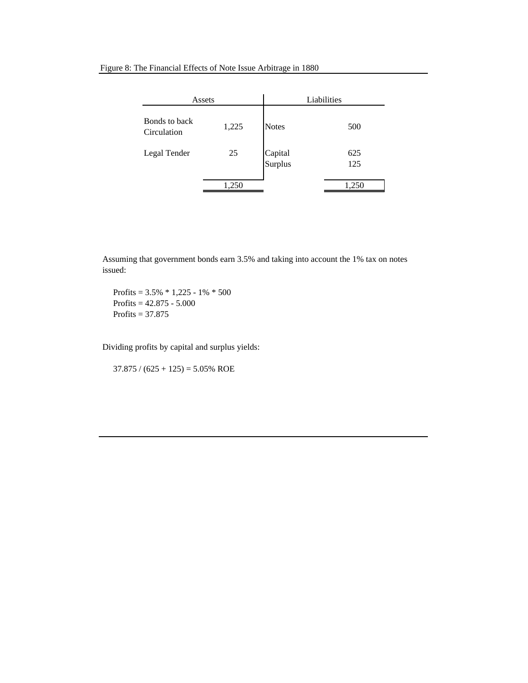| Assets                       |       |                    | Liabilities |
|------------------------------|-------|--------------------|-------------|
| Bonds to back<br>Circulation | 1,225 | <b>Notes</b>       | 500         |
| Legal Tender                 | 25    | Capital<br>Surplus | 625<br>125  |
|                              | 1,250 |                    | 1,250       |

Assuming that government bonds earn 3.5% and taking into account the 1% tax on notes issued:

Profits =  $3.5\% * 1,225 - 1\% * 500$ Profits  $= 42.875 - 5.000$ Profits  $=$  37.875

Dividing profits by capital and surplus yields:

 $37.875 / (625 + 125) = 5.05\%$  ROE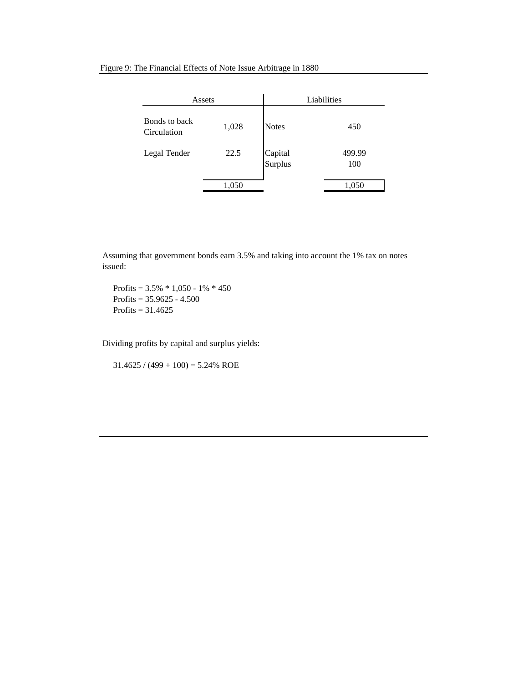| Assets                       |       |                    | Liabilities   |
|------------------------------|-------|--------------------|---------------|
| Bonds to back<br>Circulation | 1,028 | <b>Notes</b>       | 450           |
| Legal Tender                 | 22.5  | Capital<br>Surplus | 499.99<br>100 |
|                              | 1,050 |                    | 1,050         |

Assuming that government bonds earn 3.5% and taking into account the 1% tax on notes issued:

Profits =  $3.5\% * 1,050 - 1\% * 450$  Profits = 35.9625 - 4.500 Profits  $= 31.4625$ 

Dividing profits by capital and surplus yields:

 $31.4625 / (499 + 100) = 5.24\%$  ROE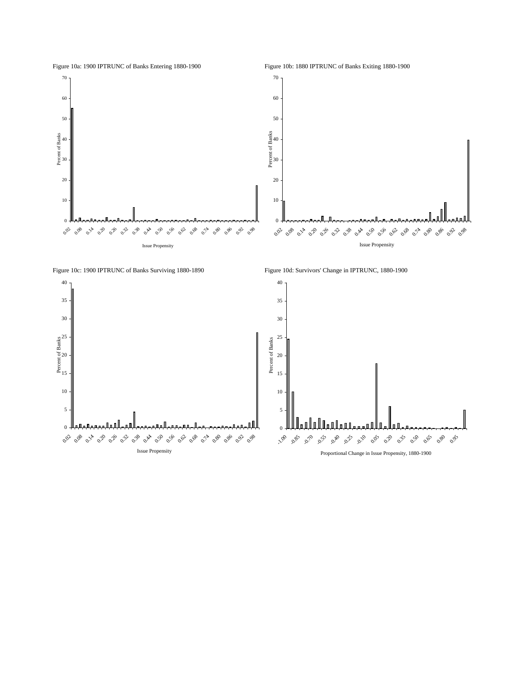

 $_0$   $\downarrow$ 

<u>llan llu</u>

**1.00** 0.85 0.70 0.55<br>- 0.55 **0.40 0.25** -0.10 **0.05**  $\mathcal{O}_{\mathcal{P}}$  $\circ$ 35 0.50 0.65 **890 0.95** 

0.96 0.96

Proportional Change in Issue Propensity, 1880-1900

5

10

15

Figure 10a: 1900 IPTRUNC of Banks Entering 1880-1900 Figure 10b: 1880 IPTRUNC of Banks Exiting 1880-1900

 $\overline{0}$ .

0.0<sub>0</sub> 0.00 0.00 0.00 0.30 0.30

 $o_{\aleph}$ **0.50 0.56 0.62** 0.68  $\hat{O}^2$  $\mathcal{C}_{\alpha}^{\Theta}$ 

Issue Propensity

5

10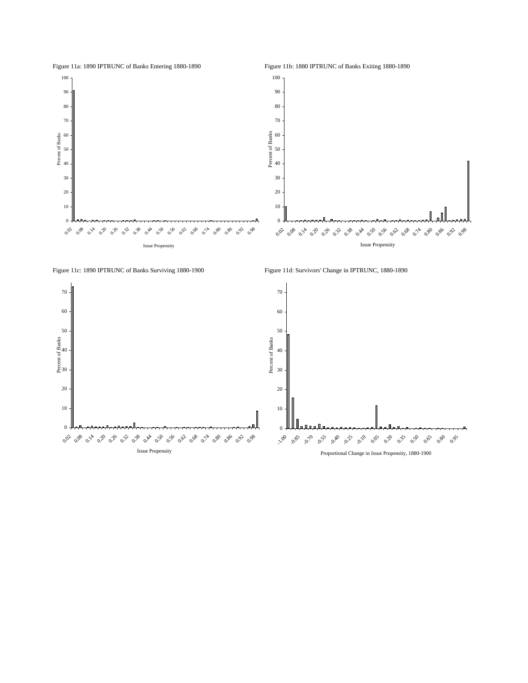



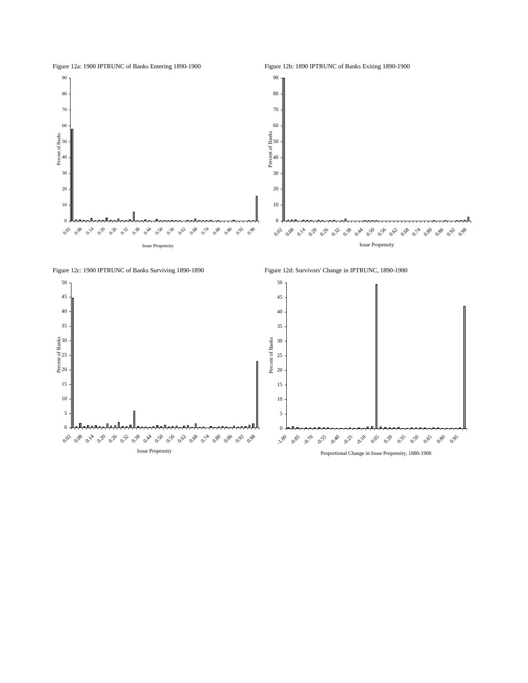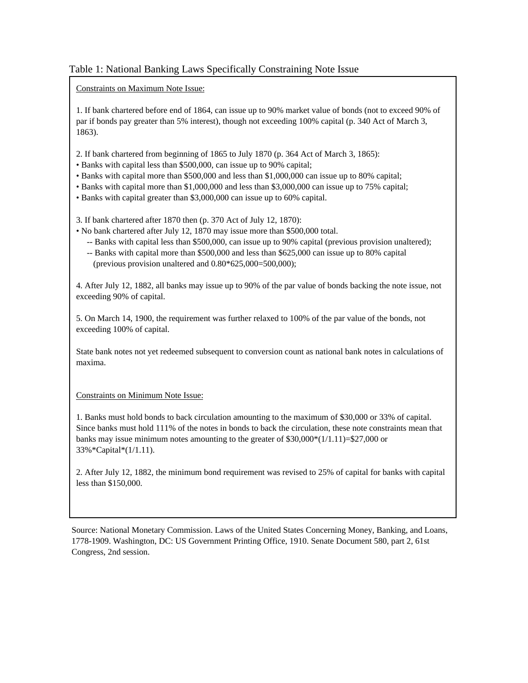# Table 1: National Banking Laws Specifically Constraining Note Issue

Constraints on Maximum Note Issue:

1. If bank chartered before end of 1864, can issue up to 90% market value of bonds (not to exceed 90% of par if bonds pay greater than 5% interest), though not exceeding 100% capital (p. 340 Act of March 3, 1863).

- 2. If bank chartered from beginning of 1865 to July 1870 (p. 364 Act of March 3, 1865):
- Banks with capital less than \$500,000, can issue up to 90% capital;
- Banks with capital more than \$500,000 and less than \$1,000,000 can issue up to 80% capital;
- Banks with capital more than \$1,000,000 and less than \$3,000,000 can issue up to 75% capital;
- Banks with capital greater than \$3,000,000 can issue up to 60% capital.
- 3. If bank chartered after 1870 then (p. 370 Act of July 12, 1870):
- No bank chartered after July 12, 1870 may issue more than \$500,000 total.
	- -- Banks with capital less than \$500,000, can issue up to 90% capital (previous provision unaltered);
	- -- Banks with capital more than \$500,000 and less than \$625,000 can issue up to 80% capital (previous provision unaltered and  $0.80*625,000=500,000$ );

4. After July 12, 1882, all banks may issue up to 90% of the par value of bonds backing the note issue, not exceeding 90% of capital.

5. On March 14, 1900, the requirement was further relaxed to 100% of the par value of the bonds, not exceeding 100% of capital.

State bank notes not yet redeemed subsequent to conversion count as national bank notes in calculations of maxima.

Constraints on Minimum Note Issue:

1. Banks must hold bonds to back circulation amounting to the maximum of \$30,000 or 33% of capital. Since banks must hold 111% of the notes in bonds to back the circulation, these note constraints mean that banks may issue minimum notes amounting to the greater of  $$30,000*(1/1.11)=$27,000$  or 33%\*Capital\*(1/1.11).

2. After July 12, 1882, the minimum bond requirement was revised to 25% of capital for banks with capital less than \$150,000.

Source: National Monetary Commission. Laws of the United States Concerning Money, Banking, and Loans, 1778-1909. Washington, DC: US Government Printing Office, 1910. Senate Document 580, part 2, 61st Congress, 2nd session.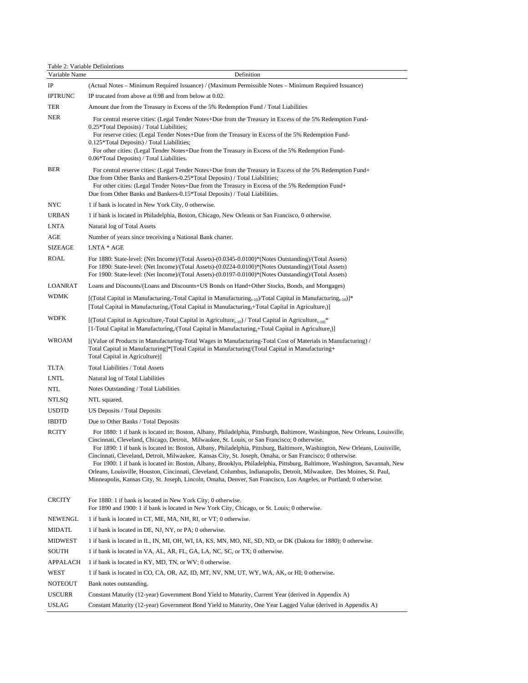## Table 2: Variable Definintions

| Variable Name   | Definition                                                                                                                                                                                                                                                                                                                                                                                                                                                                                                                                                                                                                                                                                                                                                                                                                                               |
|-----------------|----------------------------------------------------------------------------------------------------------------------------------------------------------------------------------------------------------------------------------------------------------------------------------------------------------------------------------------------------------------------------------------------------------------------------------------------------------------------------------------------------------------------------------------------------------------------------------------------------------------------------------------------------------------------------------------------------------------------------------------------------------------------------------------------------------------------------------------------------------|
| IP              | (Actual Notes – Minimum Required Issuance) / (Maximum Permissible Notes – Minimum Required Issuance)                                                                                                                                                                                                                                                                                                                                                                                                                                                                                                                                                                                                                                                                                                                                                     |
| <b>IPTRUNC</b>  | IP trucated from above at 0.98 and from below at 0.02.                                                                                                                                                                                                                                                                                                                                                                                                                                                                                                                                                                                                                                                                                                                                                                                                   |
| TER             | Amount due from the Treasury in Excess of the 5% Redemption Fund / Total Liabilities                                                                                                                                                                                                                                                                                                                                                                                                                                                                                                                                                                                                                                                                                                                                                                     |
| <b>NER</b>      | For central reserve cities: (Legal Tender Notes+Due from the Treasury in Excess of the 5% Redemption Fund-<br>0.25*Total Deposits) / Total Liabilities;<br>For reserve cities: (Legal Tender Notes+Due from the Treasury in Excess of the 5% Redemption Fund-<br>0.125*Total Deposits) / Total Liabilities;<br>For other cities: (Legal Tender Notes+Due from the Treasury in Excess of the 5% Redemption Fund-<br>0.06*Total Deposits) / Total Liabilities.                                                                                                                                                                                                                                                                                                                                                                                             |
| <b>BER</b>      | For central reserve cities: (Legal Tender Notes+Due from the Treasury in Excess of the 5% Redemption Fund+<br>Due from Other Banks and Bankers-0.25*Total Deposits) / Total Liabilities;<br>For other cities: (Legal Tender Notes+Due from the Treasury in Excess of the 5% Redemption Fund+<br>Due from Other Banks and Bankers-0.15*Total Deposits) / Total Liabilities.                                                                                                                                                                                                                                                                                                                                                                                                                                                                               |
| NYC             | 1 if bank is located in New York City, 0 otherwise.                                                                                                                                                                                                                                                                                                                                                                                                                                                                                                                                                                                                                                                                                                                                                                                                      |
| <b>URBAN</b>    | 1 if bank is located in Philadelphia, Boston, Chicago, New Orleans or San Francisco, 0 otherwise.                                                                                                                                                                                                                                                                                                                                                                                                                                                                                                                                                                                                                                                                                                                                                        |
| <b>LNTA</b>     | Natural log of Total Assets                                                                                                                                                                                                                                                                                                                                                                                                                                                                                                                                                                                                                                                                                                                                                                                                                              |
| AGE             | Number of years since treceiving a National Bank charter.                                                                                                                                                                                                                                                                                                                                                                                                                                                                                                                                                                                                                                                                                                                                                                                                |
| <b>SIZEAGE</b>  | LNTA * AGE                                                                                                                                                                                                                                                                                                                                                                                                                                                                                                                                                                                                                                                                                                                                                                                                                                               |
| ROAL            | For 1880: State-level: (Net Income)/(Total Assets)-(0.0345-0.0100)*(Notes Outstanding)/(Total Assets)<br>For 1890: State-level: (Net Income)/(Total Assets)-(0.0224-0.0100)*(Notes Outstanding)/(Total Assets)<br>For 1900: State-level: (Net Income)/(Total Assets)-(0.0197-0.0100)*(Notes Outstanding)/(Total Assets)                                                                                                                                                                                                                                                                                                                                                                                                                                                                                                                                  |
| LOANRAT         | Loans and Discounts/(Loans and Discounts+US Bonds on Hand+Other Stocks, Bonds, and Mortgages)                                                                                                                                                                                                                                                                                                                                                                                                                                                                                                                                                                                                                                                                                                                                                            |
| <b>WDMK</b>     | [(Total Capital in Manufacturing <sub>t</sub> -Total Capital in Manufacturing <sub>t-10</sub> )/Total Capital in Manufacturing <sub>t-10</sub> )]*<br>[Total Capital in Manufacturing,/(Total Capital in Manufacturing,+Total Capital in Agriculture,)]                                                                                                                                                                                                                                                                                                                                                                                                                                                                                                                                                                                                  |
| <b>WDFK</b>     | [(Total Capital in Agriculture <sub>t</sub> -Total Capital in Agriculture <sub>t-10</sub> ) / Total Capital in Agriculture <sub>t-101</sub> *<br>[1-Total Capital in Manufacturing,/(Total Capital in Manufacturing, $+$ Total Capital in Agriculture,)]                                                                                                                                                                                                                                                                                                                                                                                                                                                                                                                                                                                                 |
| <b>WROAM</b>    | [(Value of Products in Manufacturing-Total Wages in Manufacturing-Total Cost of Materials in Manufacturing) /<br>Total Capital in Manufacturing]*[Total Capital in Manufacturing/(Total Capital in Manufacturing+<br>Total Capital in Agriculture)]                                                                                                                                                                                                                                                                                                                                                                                                                                                                                                                                                                                                      |
| TLTA            | Total Liabilities / Total Assets                                                                                                                                                                                                                                                                                                                                                                                                                                                                                                                                                                                                                                                                                                                                                                                                                         |
| <b>LNTL</b>     | Natural log of Total Liabilities                                                                                                                                                                                                                                                                                                                                                                                                                                                                                                                                                                                                                                                                                                                                                                                                                         |
| NTL             | Notes Outstanding / Total Liabilities                                                                                                                                                                                                                                                                                                                                                                                                                                                                                                                                                                                                                                                                                                                                                                                                                    |
| NTLSQ           | NTL squared.                                                                                                                                                                                                                                                                                                                                                                                                                                                                                                                                                                                                                                                                                                                                                                                                                                             |
| <b>USDTD</b>    | US Deposits / Total Deposits                                                                                                                                                                                                                                                                                                                                                                                                                                                                                                                                                                                                                                                                                                                                                                                                                             |
| <b>IBDTD</b>    | Due to Other Banks / Total Deposits                                                                                                                                                                                                                                                                                                                                                                                                                                                                                                                                                                                                                                                                                                                                                                                                                      |
| RCITY           | For 1880: 1 if bank is located in: Boston, Albany, Philadelphia, Pittsburgh, Baltimore, Washington, New Orleans, Louisville,<br>Cincinnati, Cleveland, Chicago, Detroit, Milwaukee, St. Louis, or San Francisco; 0 otherwise.<br>For 1890: 1 if bank is located in: Boston, Albany, Philadelphia, Pittsburg, Baltimore, Washington, New Orleans, Louisville,<br>Cincinnati, Cleveland, Detroit, Milwaukee, Kansas City, St. Joseph, Omaha, or San Francisco; 0 otherwise.<br>For 1900: 1 if bank is located in: Boston, Albany, Brooklyn, Philadelphia, Pittsburg, Baltimore, Washington, Savannah, New<br>Orleans, Louisville, Houston, Cincinnati, Cleveland, Columbus, Indianapolis, Detroit, Milwaukee, Des Moines, St. Paul,<br>Minneapolis, Kansas City, St. Joseph, Lincoln, Omaha, Denver, San Francisco, Los Angeles, or Portland; 0 otherwise. |
| <b>CRCITY</b>   | For 1880: 1 if bank is located in New York City; 0 otherwise.<br>For 1890 and 1900: 1 if bank is located in New York City, Chicago, or St. Louis; 0 otherwise.                                                                                                                                                                                                                                                                                                                                                                                                                                                                                                                                                                                                                                                                                           |
| NEWENGL         | 1 if bank is located in CT, ME, MA, NH, RI, or VT; 0 otherwise.                                                                                                                                                                                                                                                                                                                                                                                                                                                                                                                                                                                                                                                                                                                                                                                          |
| MIDATL          | 1 if bank is located in DE, NJ, NY, or PA; 0 otherwise.                                                                                                                                                                                                                                                                                                                                                                                                                                                                                                                                                                                                                                                                                                                                                                                                  |
| <b>MIDWEST</b>  | 1 if bank is located in IL, IN, MI, OH, WI, IA, KS, MN, MO, NE, SD, ND, or DK (Dakota for 1880); 0 otherwise.                                                                                                                                                                                                                                                                                                                                                                                                                                                                                                                                                                                                                                                                                                                                            |
| SOUTH           | 1 if bank is located in VA, AL, AR, FL, GA, LA, NC, SC, or TX; 0 otherwise.                                                                                                                                                                                                                                                                                                                                                                                                                                                                                                                                                                                                                                                                                                                                                                              |
| <b>APPALACH</b> | 1 if bank is located in KY, MD, TN, or WV; 0 otherwise.                                                                                                                                                                                                                                                                                                                                                                                                                                                                                                                                                                                                                                                                                                                                                                                                  |
| WEST            | 1 if bank is located in CO, CA, OR, AZ, ID, MT, NV, NM, UT, WY, WA, AK, or HI; 0 otherwise.                                                                                                                                                                                                                                                                                                                                                                                                                                                                                                                                                                                                                                                                                                                                                              |
| NOTEOUT         | Bank notes outstanding.                                                                                                                                                                                                                                                                                                                                                                                                                                                                                                                                                                                                                                                                                                                                                                                                                                  |
| <b>USCURR</b>   | Constant Maturity (12-year) Government Bond Yield to Maturity, Current Year (derived in Appendix A)                                                                                                                                                                                                                                                                                                                                                                                                                                                                                                                                                                                                                                                                                                                                                      |
| <b>USLAG</b>    | Constant Maturity (12-year) Government Bond Yield to Maturity, One Year Lagged Value (derived in Appendix A)                                                                                                                                                                                                                                                                                                                                                                                                                                                                                                                                                                                                                                                                                                                                             |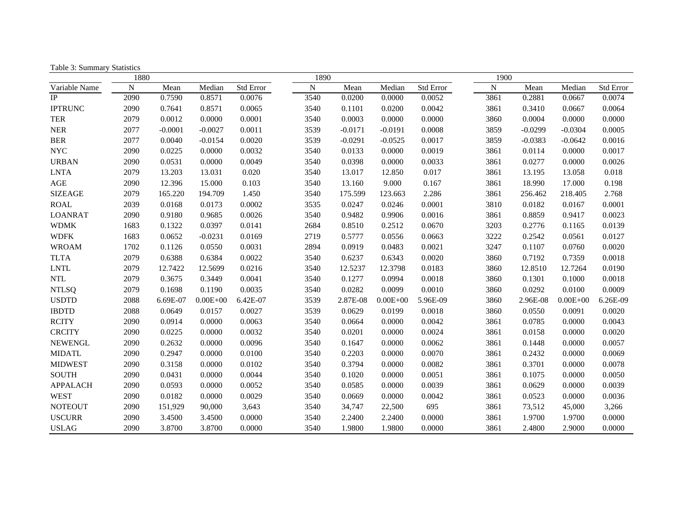| raone 5. Banning y Battistres | 1880      |           |              |           | 1890      |           |              |           | 1900      |           |              |           |
|-------------------------------|-----------|-----------|--------------|-----------|-----------|-----------|--------------|-----------|-----------|-----------|--------------|-----------|
| Variable Name                 | ${\bf N}$ | Mean      | Median       | Std Error | ${\bf N}$ | Mean      | Median       | Std Error | ${\bf N}$ | Mean      | Median       | Std Error |
| IP                            | 2090      | 0.7590    | 0.8571       | 0.0076    | 3540      | 0.0200    | 0.0000       | 0.0052    | 3861      | 0.2881    | 0.0667       | 0.0074    |
| <b>IPTRUNC</b>                | 2090      | 0.7641    | 0.8571       | 0.0065    | 3540      | 0.1101    | 0.0200       | 0.0042    | 3861      | 0.3410    | 0.0667       | 0.0064    |
| <b>TER</b>                    | 2079      | 0.0012    | 0.0000       | 0.0001    | 3540      | 0.0003    | 0.0000       | 0.0000    | 3860      | 0.0004    | 0.0000       | 0.0000    |
| <b>NER</b>                    | 2077      | $-0.0001$ | $-0.0027$    | 0.0011    | 3539      | $-0.0171$ | $-0.0191$    | 0.0008    | 3859      | $-0.0299$ | $-0.0304$    | 0.0005    |
| <b>BER</b>                    | 2077      | 0.0040    | $-0.0154$    | 0.0020    | 3539      | $-0.0291$ | $-0.0525$    | 0.0017    | 3859      | $-0.0383$ | $-0.0642$    | 0.0016    |
| <b>NYC</b>                    | 2090      | 0.0225    | 0.0000       | 0.0032    | 3540      | 0.0133    | 0.0000       | 0.0019    | 3861      | 0.0114    | 0.0000       | 0.0017    |
| <b>URBAN</b>                  | 2090      | 0.0531    | 0.0000       | 0.0049    | 3540      | 0.0398    | 0.0000       | 0.0033    | 3861      | 0.0277    | 0.0000       | 0.0026    |
| <b>LNTA</b>                   | 2079      | 13.203    | 13.031       | 0.020     | 3540      | 13.017    | 12.850       | 0.017     | 3861      | 13.195    | 13.058       | 0.018     |
| AGE                           | 2090      | 12.396    | 15.000       | 0.103     | 3540      | 13.160    | 9.000        | 0.167     | 3861      | 18.990    | 17.000       | 0.198     |
| <b>SIZEAGE</b>                | 2079      | 165.220   | 194.709      | 1.450     | 3540      | 175.599   | 123.663      | 2.286     | 3861      | 256.462   | 218.405      | 2.768     |
| <b>ROAL</b>                   | 2039      | 0.0168    | 0.0173       | 0.0002    | 3535      | 0.0247    | 0.0246       | 0.0001    | 3810      | 0.0182    | 0.0167       | 0.0001    |
| <b>LOANRAT</b>                | 2090      | 0.9180    | 0.9685       | 0.0026    | 3540      | 0.9482    | 0.9906       | 0.0016    | 3861      | 0.8859    | 0.9417       | 0.0023    |
| <b>WDMK</b>                   | 1683      | 0.1322    | 0.0397       | 0.0141    | 2684      | 0.8510    | 0.2512       | 0.0670    | 3203      | 0.2776    | 0.1165       | 0.0139    |
| <b>WDFK</b>                   | 1683      | 0.0652    | $-0.0231$    | 0.0169    | 2719      | 0.5777    | 0.0556       | 0.0663    | 3222      | 0.2542    | 0.0561       | 0.0127    |
| <b>WROAM</b>                  | 1702      | 0.1126    | 0.0550       | 0.0031    | 2894      | 0.0919    | 0.0483       | 0.0021    | 3247      | 0.1107    | 0.0760       | 0.0020    |
| <b>TLTA</b>                   | 2079      | 0.6388    | 0.6384       | 0.0022    | 3540      | 0.6237    | 0.6343       | 0.0020    | 3860      | 0.7192    | 0.7359       | 0.0018    |
| <b>LNTL</b>                   | 2079      | 12.7422   | 12.5699      | 0.0216    | 3540      | 12.5237   | 12.3798      | 0.0183    | 3860      | 12.8510   | 12.7264      | 0.0190    |
| <b>NTL</b>                    | 2079      | 0.3675    | 0.3449       | 0.0041    | 3540      | 0.1277    | 0.0994       | 0.0018    | 3860      | 0.1301    | 0.1000       | 0.0018    |
| <b>NTLSQ</b>                  | 2079      | 0.1698    | 0.1190       | 0.0035    | 3540      | 0.0282    | 0.0099       | 0.0010    | 3860      | 0.0292    | 0.0100       | 0.0009    |
| <b>USDTD</b>                  | 2088      | 6.69E-07  | $0.00E + 00$ | 6.42E-07  | 3539      | 2.87E-08  | $0.00E + 00$ | 5.96E-09  | 3860      | 2.96E-08  | $0.00E + 00$ | 6.26E-09  |
| <b>IBDTD</b>                  | 2088      | 0.0649    | 0.0157       | 0.0027    | 3539      | 0.0629    | 0.0199       | 0.0018    | 3860      | 0.0550    | 0.0091       | 0.0020    |
| <b>RCITY</b>                  | 2090      | 0.0914    | 0.0000       | 0.0063    | 3540      | 0.0664    | 0.0000       | 0.0042    | 3861      | 0.0785    | 0.0000       | 0.0043    |
| <b>CRCITY</b>                 | 2090      | 0.0225    | 0.0000       | 0.0032    | 3540      | 0.0201    | 0.0000       | 0.0024    | 3861      | 0.0158    | 0.0000       | 0.0020    |
| <b>NEWENGL</b>                | 2090      | 0.2632    | 0.0000       | 0.0096    | 3540      | 0.1647    | 0.0000       | 0.0062    | 3861      | 0.1448    | 0.0000       | 0.0057    |
| <b>MIDATL</b>                 | 2090      | 0.2947    | 0.0000       | 0.0100    | 3540      | 0.2203    | 0.0000       | 0.0070    | 3861      | 0.2432    | 0.0000       | 0.0069    |
| <b>MIDWEST</b>                | 2090      | 0.3158    | 0.0000       | 0.0102    | 3540      | 0.3794    | 0.0000       | 0.0082    | 3861      | 0.3701    | 0.0000       | 0.0078    |
| <b>SOUTH</b>                  | 2090      | 0.0431    | 0.0000       | 0.0044    | 3540      | 0.1020    | 0.0000       | 0.0051    | 3861      | 0.1075    | 0.0000       | 0.0050    |
| <b>APPALACH</b>               | 2090      | 0.0593    | 0.0000       | 0.0052    | 3540      | 0.0585    | 0.0000       | 0.0039    | 3861      | 0.0629    | 0.0000       | 0.0039    |
| <b>WEST</b>                   | 2090      | 0.0182    | 0.0000       | 0.0029    | 3540      | 0.0669    | 0.0000       | 0.0042    | 3861      | 0.0523    | 0.0000       | 0.0036    |
| <b>NOTEOUT</b>                | 2090      | 151,929   | 90,000       | 3,643     | 3540      | 34,747    | 22,500       | 695       | 3861      | 73,512    | 45,000       | 3,266     |
| <b>USCURR</b>                 | 2090      | 3.4500    | 3.4500       | 0.0000    | 3540      | 2.2400    | 2.2400       | 0.0000    | 3861      | 1.9700    | 1.9700       | 0.0000    |
| USLAG-                        | 2090      | 3.8700    | 3.8700       | 0.0000    | 3540      | 1.9800    | 1.9800       | 0.0000    | 3861      | 2.4800    | 2.9000       | 0.0000    |

Table 3: Summary Statistics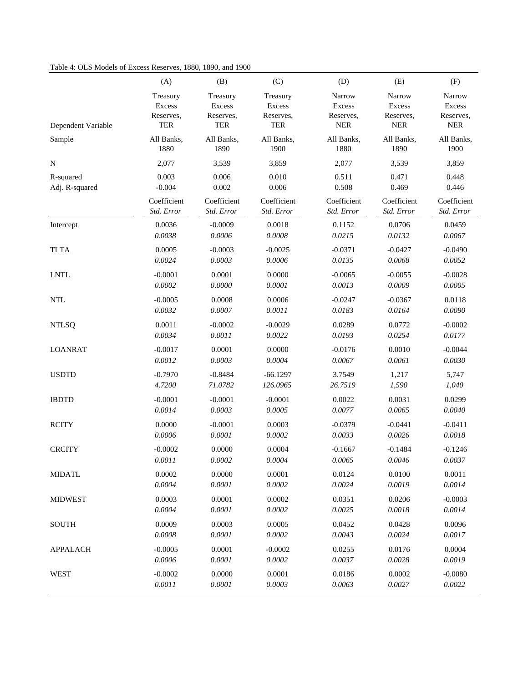## Table 4: OLS Models of Excess Reserves, 1880, 1890, and 1900

|                    | (A)         | (B)         | (C)         | (D)         | (E)         | (F)           |
|--------------------|-------------|-------------|-------------|-------------|-------------|---------------|
| Dependent Variable | Treasury    | Treasury    | Treasury    | Narrow      | Narrow      | Narrow        |
|                    | Excess      | Excess      | Excess      | Excess      | Excess      | <b>Excess</b> |
|                    | Reserves,   | Reserves,   | Reserves,   | Reserves,   | Reserves,   | Reserves,     |
|                    | <b>TER</b>  | TER         | TER         | ${\tt NER}$ | <b>NER</b>  | ${\tt NER}$   |
| Sample             | All Banks,  | All Banks,  | All Banks,  | All Banks,  | All Banks,  | All Banks,    |
|                    | 1880        | 1890        | 1900        | 1880        | 1890        | 1900          |
| N                  | 2,077       | 3,539       | 3,859       | 2,077       | 3,539       | 3,859         |
| R-squared          | 0.003       | 0.006       | 0.010       | 0.511       | 0.471       | 0.448         |
| Adj. R-squared     | $-0.004$    | 0.002       | 0.006       | 0.508       | 0.469       | 0.446         |
|                    | Coefficient | Coefficient | Coefficient | Coefficient | Coefficient | Coefficient   |
|                    | Std. Error  | Std. Error  | Std. Error  | Std. Error  | Std. Error  | Std. Error    |
| Intercept          | 0.0036      | $-0.0009$   | 0.0018      | 0.1152      | 0.0706      | 0.0459        |
|                    | 0.0038      | 0.0006      | 0.0008      | 0.0215      | 0.0132      | 0.0067        |
| <b>TLTA</b>        | 0.0005      | $-0.0003$   | $-0.0025$   | $-0.0371$   | $-0.0427$   | $-0.0490$     |
|                    | 0.0024      | 0.0003      | 0.0006      | 0.0135      | 0.0068      | 0.0052        |
| <b>LNTL</b>        | $-0.0001$   | 0.0001      | 0.0000      | $-0.0065$   | $-0.0055$   | $-0.0028$     |
|                    | 0.0002      | 0.0000      | 0.0001      | 0.0013      | 0.0009      | 0.0005        |
| <b>NTL</b>         | $-0.0005$   | 0.0008      | 0.0006      | $-0.0247$   | $-0.0367$   | 0.0118        |
|                    | 0.0032      | 0.0007      | 0.0011      | 0.0183      | 0.0164      | $0.0090\,$    |
| <b>NTLSQ</b>       | 0.0011      | $-0.0002$   | $-0.0029$   | 0.0289      | 0.0772      | $-0.0002$     |
|                    | 0.0034      | 0.0011      | 0.0022      | 0.0193      | 0.0254      | 0.0177        |
| <b>LOANRAT</b>     | $-0.0017$   | 0.0001      | 0.0000      | $-0.0176$   | 0.0010      | $-0.0044$     |
|                    | 0.0012      | 0.0003      | 0.0004      | 0.0067      | 0.0061      | 0.0030        |
| <b>USDTD</b>       | $-0.7970$   | $-0.8484$   | $-66.1297$  | 3.7549      | 1,217       | 5,747         |
|                    | 4.7200      | 71.0782     | 126.0965    | 26.7519     | 1,590       | 1,040         |
| <b>IBDTD</b>       | $-0.0001$   | $-0.0001$   | $-0.0001$   | 0.0022      | 0.0031      | 0.0299        |
|                    | 0.0014      | 0.0003      | 0.0005      | 0.0077      | 0.0065      | 0.0040        |
| <b>RCITY</b>       | 0.0000      | $-0.0001$   | 0.0003      | $-0.0379$   | $-0.0441$   | $-0.0411$     |
|                    | 0.0006      | 0.0001      | 0.0002      | 0.0033      | 0.0026      | 0.0018        |
| <b>CRCITY</b>      | $-0.0002$   | 0.0000      | 0.0004      | $-0.1667$   | $-0.1484$   | $-0.1246$     |
|                    | 0.0011      | 0.0002      | $0.0004\,$  | 0.0065      | $0.0046\,$  | 0.0037        |
| <b>MIDATL</b>      | 0.0002      | 0.0000      | 0.0001      | 0.0124      | 0.0100      | 0.0011        |
|                    | 0.0004      | 0.0001      | 0.0002      | 0.0024      | 0.0019      | 0.0014        |
| <b>MIDWEST</b>     | 0.0003      | 0.0001      | 0.0002      | 0.0351      | 0.0206      | $-0.0003$     |
|                    | 0.0004      | 0.0001      | 0.0002      | 0.0025      | 0.0018      | 0.0014        |
| <b>SOUTH</b>       | 0.0009      | 0.0003      | 0.0005      | 0.0452      | 0.0428      | 0.0096        |
|                    | $0.0008\,$  | 0.0001      | 0.0002      | 0.0043      | 0.0024      | 0.0017        |
| <b>APPALACH</b>    | $-0.0005$   | 0.0001      | $-0.0002$   | 0.0255      | 0.0176      | 0.0004        |
|                    | 0.0006      | 0.0001      | 0.0002      | 0.0037      | 0.0028      | 0.0019        |
| <b>WEST</b>        | $-0.0002$   | 0.0000      | 0.0001      | 0.0186      | 0.0002      | $-0.0080$     |
|                    | 0.0011      | 0.0001      | 0.0003      | 0.0063      | 0.0027      | 0.0022        |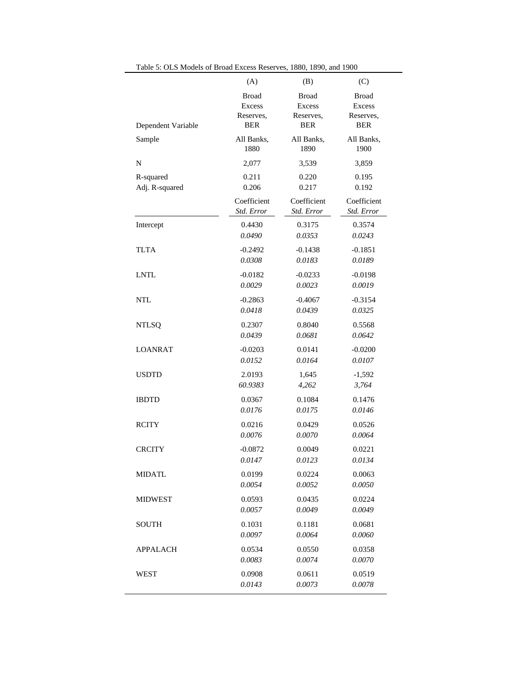|                    | (A)           | (B)          | (C)          |
|--------------------|---------------|--------------|--------------|
| Dependent Variable | <b>Broad</b>  | <b>Broad</b> | <b>Broad</b> |
|                    | <b>Excess</b> | Excess       | Excess       |
|                    | Reserves,     | Reserves,    | Reserves,    |
|                    | <b>BER</b>    | <b>BER</b>   | <b>BER</b>   |
| Sample             | All Banks,    | All Banks,   | All Banks,   |
|                    | 1880          | 1890         | 1900         |
| N                  | 2,077         | 3,539        | 3,859        |
| R-squared          | 0.211         | 0.220        | 0.195        |
| Adj. R-squared     | 0.206         | 0.217        | 0.192        |
|                    | Coefficient   | Coefficient  | Coefficient  |
|                    | Std. Error    | Std. Error   | Std. Error   |
| Intercept          | 0.4430        | 0.3175       | 0.3574       |
|                    | 0.0490        | 0.0353       | 0.0243       |
| <b>TLTA</b>        | $-0.2492$     | $-0.1438$    | $-0.1851$    |
|                    | 0.0308        | 0.0183       | 0.0189       |
| <b>LNTL</b>        | $-0.0182$     | $-0.0233$    | $-0.0198$    |
|                    | 0.0029        | 0.0023       | 0.0019       |
| <b>NTL</b>         | $-0.2863$     | $-0.4067$    | $-0.3154$    |
|                    | 0.0418        | 0.0439       | 0.0325       |
| <b>NTLSQ</b>       | 0.2307        | 0.8040       | 0.5568       |
|                    | 0.0439        | 0.0681       | 0.0642       |
| <b>LOANRAT</b>     | $-0.0203$     | 0.0141       | $-0.0200$    |
|                    | 0.0152        | 0.0164       | 0.0107       |
| <b>USDTD</b>       | 2.0193        | 1,645        | $-1,592$     |
|                    | 60.9383       | 4,262        | 3,764        |
| <b>IBDTD</b>       | 0.0367        | 0.1084       | 0.1476       |
|                    | 0.0176        | 0.0175       | 0.0146       |
| <b>RCITY</b>       | 0.0216        | 0.0429       | 0.0526       |
|                    | 0.0076        | 0.0070       | 0.0064       |
| <b>CRCITY</b>      | $-0.0872$     | 0.0049       | 0.0221       |
|                    | 0.0147        | 0.0123       | 0.0134       |
| <b>MIDATL</b>      | 0.0199        | 0.0224       | 0.0063       |
|                    | 0.0054        | 0.0052       | 0.0050       |
| <b>MIDWEST</b>     | 0.0593        | 0.0435       | 0.0224       |
|                    | 0.0057        | 0.0049       | 0.0049       |
| SOUTH              | 0.1031        | 0.1181       | 0.0681       |
|                    | 0.0097        | 0.0064       | 0.0060       |
| APPALACH           | 0.0534        | 0.0550       | 0.0358       |
|                    | 0.0083        | 0.0074       | 0.0070       |
| WEST               | 0.0908        | 0.0611       | 0.0519       |
|                    | 0.0143        | 0.0073       | 0.0078       |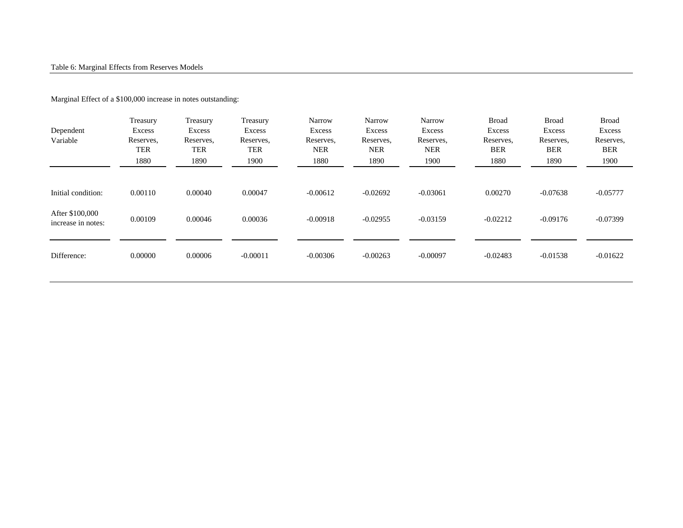#### Marginal Effect of a \$100,000 increase in notes outstanding:

| Dependent<br>Variable                 | Treasury<br>Excess<br>Reserves,<br>TER<br>1880 | Treasury<br>Excess<br>Reserves.<br>TER<br>1890 | Treasury<br>Excess<br>Reserves.<br>TER<br>1900 | <b>Narrow</b><br>Excess<br>Reserves.<br><b>NER</b><br>1880 | <b>Narrow</b><br>Excess<br>Reserves,<br><b>NER</b><br>1890 | Narrow<br>Excess<br>Reserves,<br><b>NER</b><br>1900 | <b>Broad</b><br>Excess<br>Reserves,<br><b>BER</b><br>1880 | <b>Broad</b><br>Excess<br>Reserves,<br><b>BER</b><br>1890 | <b>Broad</b><br>Excess<br>Reserves,<br><b>BER</b><br>1900 |
|---------------------------------------|------------------------------------------------|------------------------------------------------|------------------------------------------------|------------------------------------------------------------|------------------------------------------------------------|-----------------------------------------------------|-----------------------------------------------------------|-----------------------------------------------------------|-----------------------------------------------------------|
| Initial condition:                    | 0.00110                                        | 0.00040                                        | 0.00047                                        | $-0.00612$                                                 | $-0.02692$                                                 | $-0.03061$                                          | 0.00270                                                   | $-0.07638$                                                | $-0.05777$                                                |
| After \$100,000<br>increase in notes: | 0.00109                                        | 0.00046                                        | 0.00036                                        | $-0.00918$                                                 | $-0.02955$                                                 | $-0.03159$                                          | $-0.02212$                                                | $-0.09176$                                                | $-0.07399$                                                |
| Difference:                           | 0.00000                                        | 0.00006                                        | $-0.00011$                                     | $-0.00306$                                                 | $-0.00263$                                                 | $-0.00097$                                          | $-0.02483$                                                | $-0.01538$                                                | $-0.01622$                                                |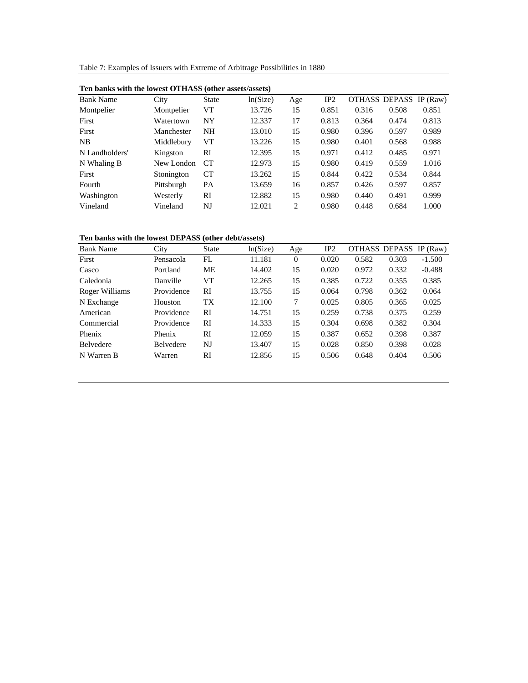Table 7: Examples of Issuers with Extreme of Arbitrage Possibilities in 1880

| <b>Bank Name</b> | City       | <b>State</b>    | ln(Size) | Age | IP2   | OTHASS DEPASS IP (Raw) |       |       |
|------------------|------------|-----------------|----------|-----|-------|------------------------|-------|-------|
| Montpelier       | Montpelier | VT              | 13.726   | 15  | 0.851 | 0.316                  | 0.508 | 0.851 |
| First            | Watertown  | NY              | 12.337   | 17  | 0.813 | 0.364                  | 0.474 | 0.813 |
| First            | Manchester | NH              | 13.010   | 15  | 0.980 | 0.396                  | 0.597 | 0.989 |
| NB               | Middlebury | VT              | 13.226   | 15  | 0.980 | 0.401                  | 0.568 | 0.988 |
| N Landholders'   | Kingston   | RI              | 12.395   | 15  | 0.971 | 0.412                  | 0.485 | 0.971 |
| N Whaling B      | New London | CT <sup>-</sup> | 12.973   | 15  | 0.980 | 0.419                  | 0.559 | 1.016 |
| First            | Stonington | <b>CT</b>       | 13.262   | 15  | 0.844 | 0.422                  | 0.534 | 0.844 |
| Fourth           | Pittsburgh | <b>PA</b>       | 13.659   | 16  | 0.857 | 0.426                  | 0.597 | 0.857 |
| Washington       | Westerly   | RI              | 12.882   | 15  | 0.980 | 0.440                  | 0.491 | 0.999 |
| Vineland         | Vineland   | NJ              | 12.021   | 2   | 0.980 | 0.448                  | 0.684 | 1.000 |
|                  |            |                 |          |     |       |                        |       |       |

**Ten banks with the lowest OTHASS (other assets/assets)**

#### **Ten banks with the lowest DEPASS (other debt/assets)**

| <b>Bank Name</b> | City             | <b>State</b> | ln(Size) | Age      | IP <sub>2</sub> | OTHASS DEPASS |       | IP $(Raw)$ |
|------------------|------------------|--------------|----------|----------|-----------------|---------------|-------|------------|
| First            | Pensacola        | FL           | 11.181   | $\Omega$ | 0.020           | 0.582         | 0.303 | $-1.500$   |
| Casco            | Portland         | <b>ME</b>    | 14.402   | 15       | 0.020           | 0.972         | 0.332 | $-0.488$   |
| Caledonia        | Danville         | VT           | 12.265   | 15       | 0.385           | 0.722         | 0.355 | 0.385      |
| Roger Williams   | Providence       | RI           | 13.755   | 15       | 0.064           | 0.798         | 0.362 | 0.064      |
| N Exchange       | Houston          | <b>TX</b>    | 12.100   | 7        | 0.025           | 0.805         | 0.365 | 0.025      |
| American         | Providence       | RI           | 14.751   | 15       | 0.259           | 0.738         | 0.375 | 0.259      |
| Commercial       | Providence       | RI           | 14.333   | 15       | 0.304           | 0.698         | 0.382 | 0.304      |
| Phenix           | Phenix           | RI           | 12.059   | 15       | 0.387           | 0.652         | 0.398 | 0.387      |
| <b>Belvedere</b> | <b>Belvedere</b> | NJ           | 13.407   | 15       | 0.028           | 0.850         | 0.398 | 0.028      |
| N Warren B       | Warren           | RI           | 12.856   | 15       | 0.506           | 0.648         | 0.404 | 0.506      |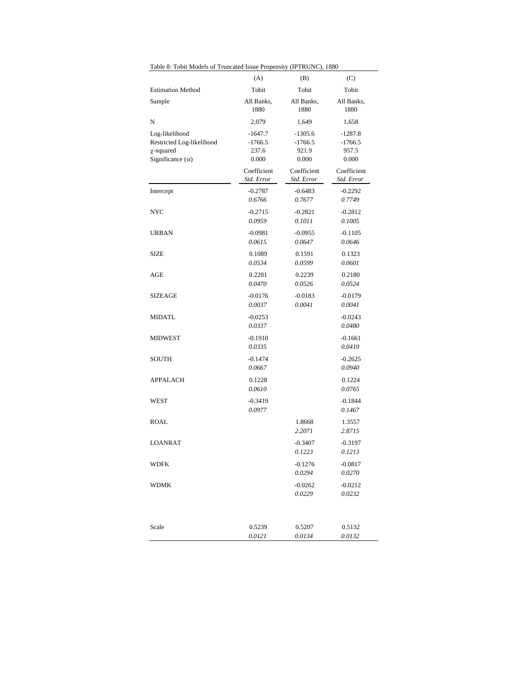| Table 8: Tobit Models of Truncated Issue Propensity (IPTRUNC), 1880                       |                                          |                                          |                                          |
|-------------------------------------------------------------------------------------------|------------------------------------------|------------------------------------------|------------------------------------------|
|                                                                                           | (A)                                      | (B)                                      | (C)                                      |
| <b>Estimation Method</b>                                                                  | Tobit                                    | Tobit                                    | Tobit                                    |
| Sample                                                                                    | All Banks,<br>1880                       | All Banks,<br>1880                       | All Banks,<br>1880                       |
| N                                                                                         | 2,079                                    | 1,649                                    | 1,658                                    |
| Log-likelihood<br>Restricted Log-likelihood<br>$\chi$ -squared<br>Significance $(\alpha)$ | $-1647.7$<br>$-1766.5$<br>237.6<br>0.000 | $-1305.6$<br>$-1766.5$<br>921.9<br>0.000 | $-1287.8$<br>$-1766.5$<br>957.5<br>0.000 |
|                                                                                           | Coefficient<br>Std. Error                | Coefficient<br>Std. Error                | Coefficient<br>Std. Error                |
| Intercept                                                                                 | $-0.2787$<br>0.6766                      | $-0.6483$<br>0.7677                      | $-0.2292$<br>0.7749                      |
| NYC                                                                                       | $-0.2715$<br>0.0959                      | $-0.2821$<br>0.1011                      | $-0.2812$<br>0.1005                      |
| <b>URBAN</b>                                                                              | $-0.0981$<br>0.0615                      | $-0.0955$<br>0.0647                      | $-0.1105$<br>0.0646                      |
| <b>SIZE</b>                                                                               | 0.1089<br>0.0534                         | 0.1591<br>0.0599                         | 0.1323<br>0.0601                         |
| AGE                                                                                       | 0.2201<br>0.0470                         | 0.2239<br>0.0526                         | 0.2180<br>0.0524                         |
| <b>SIZEAGE</b>                                                                            | $-0.0176$<br>0.0037                      | $-0.0183$<br>0.0041                      | $-0.0179$<br>0.0041                      |
| <b>MIDATL</b>                                                                             | $-0.0253$<br>0.0337                      |                                          | $-0.0243$<br>0.0480                      |
| <b>MIDWEST</b>                                                                            | $-0.1910$<br>0.0335                      |                                          | $-0.1661$<br>0.0410                      |
| SOUTH                                                                                     | $-0.1474$<br>0.0667                      |                                          | $-0.2625$<br>0.0940                      |
| APPALACH                                                                                  | 0.1228<br>0.0610                         |                                          | 0.1224<br>0.0765                         |
| WEST                                                                                      | $-0.3419$<br>0.0977                      |                                          | $-0.1844$<br>0.1467                      |
| ROAL                                                                                      |                                          | 1.8668<br>2.2071                         | 1.3557<br>2.8715                         |
| <b>LOANRAT</b>                                                                            |                                          | $-0.3407$<br>0.1223                      | $-0.3197$<br>0.1213                      |
| WDFK                                                                                      |                                          | $-0.1276$<br>0.0294                      | $-0.0817$<br>0.0270                      |
| WDMK                                                                                      |                                          | $-0.0262$<br>0.0229                      | $-0.0212$<br>0.0232                      |
| Scale                                                                                     | 0.5239<br>0.0121                         | 0.5207<br>0.0134                         | 0.5132<br>0.0132                         |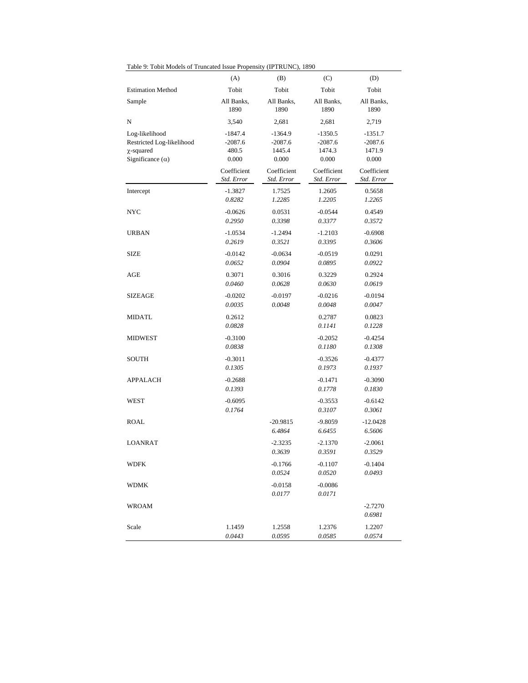| Table 9: Tobit Models of Truncated Issue Propensity (IPTRUNC), 1890                       |                                          |                                           |                                           |                                           |  |
|-------------------------------------------------------------------------------------------|------------------------------------------|-------------------------------------------|-------------------------------------------|-------------------------------------------|--|
|                                                                                           | (A)                                      | (B)                                       | (C)                                       | (D)                                       |  |
| <b>Estimation Method</b>                                                                  | Tobit                                    | Tobit                                     | Tobit                                     | Tobit                                     |  |
| Sample                                                                                    | All Banks,<br>1890                       | All Banks,<br>1890                        | All Banks,<br>1890                        | All Banks,<br>1890                        |  |
| N                                                                                         | 3,540                                    | 2,681                                     | 2,681                                     | 2,719                                     |  |
| Log-likelihood<br>Restricted Log-likelihood<br>$\chi$ -squared<br>Significance $(\alpha)$ | $-1847.4$<br>$-2087.6$<br>480.5<br>0.000 | $-1364.9$<br>$-2087.6$<br>1445.4<br>0.000 | $-1350.5$<br>$-2087.6$<br>1474.3<br>0.000 | $-1351.7$<br>$-2087.6$<br>1471.9<br>0.000 |  |
|                                                                                           | Coefficient<br>Std. Error                | Coefficient<br>Std. Error                 | Coefficient<br>Std. Error                 | Coefficient<br>Std. Error                 |  |
| Intercept                                                                                 | $-1.3827$<br>0.8282                      | 1.7525<br>1.2285                          | 1.2605<br>1.2205                          | 0.5658<br>1.2265                          |  |
| NYC                                                                                       | $-0.0626$<br>0.2950                      | 0.0531<br>0.3398                          | $-0.0544$<br>0.3377                       | 0.4549<br>0.3572                          |  |
| <b>URBAN</b>                                                                              | $-1.0534$<br>0.2619                      | $-1.2494$<br>0.3521                       | $-1.2103$<br>0.3395                       | $-0.6908$<br>0.3606                       |  |
| SIZE                                                                                      | $-0.0142$<br>0.0652                      | $-0.0634$<br>0.0904                       | $-0.0519$<br>0.0895                       | 0.0291<br>0.0922                          |  |
| AGE                                                                                       | 0.3071<br>0.0460                         | 0.3016<br>0.0628                          | 0.3229<br>0.0630                          | 0.2924<br>0.0619                          |  |
| SIZEAGE                                                                                   | $-0.0202$<br>0.0035                      | $-0.0197$<br>0.0048                       | $-0.0216$<br>0.0048                       | $-0.0194$<br>0.0047                       |  |
| MIDATL                                                                                    | 0.2612<br>0.0828                         |                                           | 0.2787<br>0.1141                          | 0.0823<br>0.1228                          |  |
| <b>MIDWEST</b>                                                                            | $-0.3100$<br>0.0838                      |                                           | $-0.2052$<br>0.1180                       | $-0.4254$<br>0.1308                       |  |
| SOUTH                                                                                     | $-0.3011$<br>0.1305                      |                                           | $-0.3526$<br>0.1973                       | $-0.4377$<br>0.1937                       |  |
| <b>APPALACH</b>                                                                           | $-0.2688$<br>0.1393                      |                                           | $-0.1471$<br>0.1778                       | $-0.3090$<br>0.1830                       |  |
| WEST                                                                                      | $-0.6095$<br>0.1764                      |                                           | $-0.3553$<br>0.3107                       | $-0.6142$<br>0.3061                       |  |
| ROAL                                                                                      |                                          | $-20.9815$<br>6.4864                      | -9.8059<br>6.6455                         | $-12.0428$<br>6.5606                      |  |
| LOANRAT                                                                                   |                                          | $-2.3235$<br>0.3639                       | $-2.1370$<br>0.3591                       | $-2.0061$<br>0.3529                       |  |
| <b>WDFK</b>                                                                               |                                          | $-0.1766$<br>0.0524                       | $-0.1107$<br>0.0520                       | $-0.1404$<br>0.0493                       |  |
| <b>WDMK</b>                                                                               |                                          | $-0.0158$<br>0.0177                       | $-0.0086$<br>0.0171                       |                                           |  |
| <b>WROAM</b>                                                                              |                                          |                                           |                                           | $-2.7270$<br>0.6981                       |  |
| Scale                                                                                     | 1.1459<br>0.0443                         | 1.2558<br>0.0595                          | 1.2376<br>0.0585                          | 1.2207<br>0.0574                          |  |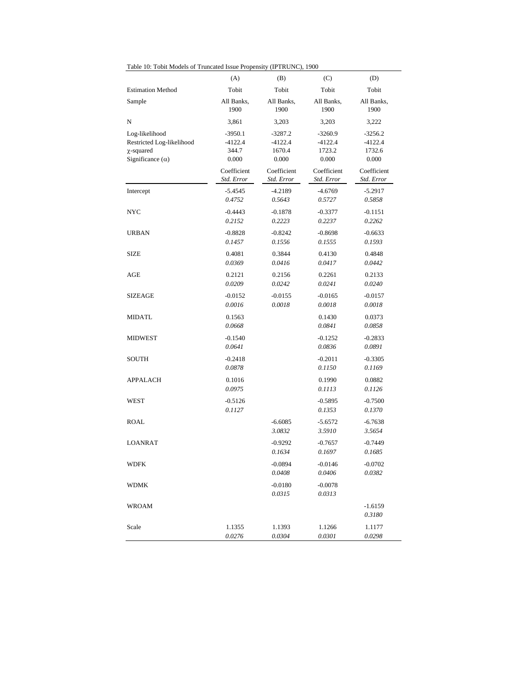| Table 10: Tobit Models of Truncated Issue Propensity (IPTRUNC), 1900                      |                                        |                                           |                                           |                                           |  |
|-------------------------------------------------------------------------------------------|----------------------------------------|-------------------------------------------|-------------------------------------------|-------------------------------------------|--|
|                                                                                           | (A)                                    | (B)                                       | (C)                                       | (D)                                       |  |
| <b>Estimation Method</b>                                                                  | Tobit                                  | Tobit                                     | Tobit                                     | Tobit                                     |  |
| Sample                                                                                    | All Banks,<br>1900                     | All Banks,<br>1900                        | All Banks,<br>1900                        | All Banks,<br>1900                        |  |
| N                                                                                         | 3,861                                  | 3,203                                     | 3,203                                     | 3,222                                     |  |
| Log-likelihood<br>Restricted Log-likelihood<br>$\chi$ -squared<br>Significance $(\alpha)$ | -3950.1<br>$-4122.4$<br>344.7<br>0.000 | $-3287.2$<br>$-4122.4$<br>1670.4<br>0.000 | $-3260.9$<br>$-4122.4$<br>1723.2<br>0.000 | $-3256.2$<br>$-4122.4$<br>1732.6<br>0.000 |  |
|                                                                                           | Coefficient<br>Std. Error              | Coefficient<br>Std. Error                 | Coefficient<br>Std. Error                 | Coefficient<br>Std. Error                 |  |
| Intercept                                                                                 | $-5.4545$<br>0.4752                    | $-4.2189$<br>0.5643                       | $-4.6769$<br>0.5727                       | $-5.2917$<br>0.5858                       |  |
| NYC                                                                                       | $-0.4443$<br>0.2152                    | $-0.1878$<br>0.2223                       | $-0.3377$<br>0.2237                       | $-0.1151$<br>0.2262                       |  |
| <b>URBAN</b>                                                                              | $-0.8828$<br>0.1457                    | $-0.8242$<br>0.1556                       | $-0.8698$<br>0.1555                       | $-0.6633$<br>0.1593                       |  |
| <b>SIZE</b>                                                                               | 0.4081<br>0.0369                       | 0.3844<br>0.0416                          | 0.4130<br>0.0417                          | 0.4848<br>0.0442                          |  |
| AGE                                                                                       | 0.2121<br>0.0209                       | 0.2156<br>0.0242                          | 0.2261<br>0.0241                          | 0.2133<br>0.0240                          |  |
| <b>SIZEAGE</b>                                                                            | $-0.0152$<br>0.0016                    | $-0.0155$<br>0.0018                       | $-0.0165$<br>0.0018                       | $-0.0157$<br>0.0018                       |  |
| MIDATL                                                                                    | 0.1563<br>0.0668                       |                                           | 0.1430<br>0.0841                          | 0.0373<br>0.0858                          |  |
| MIDWEST                                                                                   | $-0.1540$<br>0.0641                    |                                           | $-0.1252$<br>0.0836                       | $-0.2833$<br>0.0891                       |  |
| SOUTH                                                                                     | $-0.2418$<br>0.0878                    |                                           | $-0.2011$<br>0.1150                       | $-0.3305$<br>0.1169                       |  |
| APPALACH                                                                                  | 0.1016<br>0.0975                       |                                           | 0.1990<br>0.1113                          | 0.0882<br>0.1126                          |  |
| WEST                                                                                      | $-0.5126$<br>0.1127                    |                                           | $-0.5895$<br>0.1353                       | $-0.7500$<br>0.1370                       |  |
| <b>ROAL</b>                                                                               |                                        | $-6.6085$<br>3.0832                       | $-5.6572$<br>3.5910                       | $-6.7638$<br>3.5654                       |  |
| <b>LOANRAT</b>                                                                            |                                        | $-0.9292$<br>0.1634                       | $-0.7657$<br>0.1697                       | $-0.7449$<br>0.1685                       |  |
| WDFK                                                                                      |                                        | $-0.0894$<br>0.0408                       | $-0.0146$<br>0.0406                       | $-0.0702$<br>0.0382                       |  |
| <b>WDMK</b>                                                                               |                                        | $-0.0180$<br>0.0315                       | $-0.0078$<br>0.0313                       |                                           |  |
| <b>WROAM</b>                                                                              |                                        |                                           |                                           | $-1.6159$<br>0.3180                       |  |
| Scale                                                                                     | 1.1355<br>0.0276                       | 1.1393<br>0.0304                          | 1.1266<br>0.0301                          | 1.1177<br>0.0298                          |  |